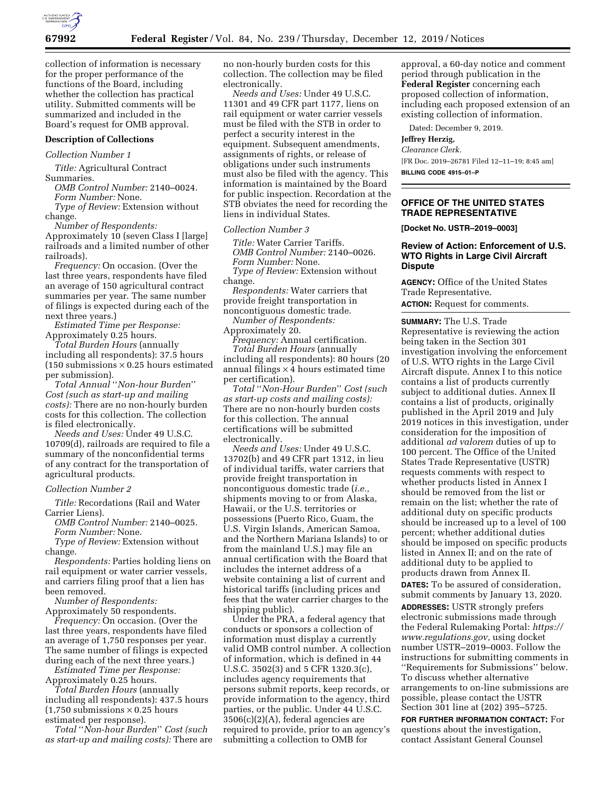

collection of information is necessary for the proper performance of the functions of the Board, including whether the collection has practical utility. Submitted comments will be summarized and included in the Board's request for OMB approval.

### **Description of Collections**

### *Collection Number 1*

*Title:* Agricultural Contract Summaries.

*OMB Control Number:* 2140–0024. *Form Number:* None.

*Type of Review:* Extension without change.

*Number of Respondents:* 

Approximately 10 (seven Class I [large] railroads and a limited number of other railroads).

*Frequency:* On occasion. (Over the last three years, respondents have filed an average of 150 agricultural contract summaries per year. The same number of filings is expected during each of the next three years.)

*Estimated Time per Response:*  Approximately 0.25 hours.

*Total Burden Hours* (annually including all respondents): 37.5 hours (150 submissions  $\times$  0.25 hours estimated per submission).

*Total Annual* ''*Non-hour Burden*'' *Cost (such as start-up and mailing costs):* There are no non-hourly burden costs for this collection. The collection is filed electronically.

*Needs and Uses:* Under 49 U.S.C. 10709(d), railroads are required to file a summary of the nonconfidential terms of any contract for the transportation of agricultural products.

#### *Collection Number 2*

*Title:* Recordations (Rail and Water Carrier Liens).

*OMB Control Number:* 2140–0025.

*Form Number:* None.

*Type of Review:* Extension without change.

*Respondents:* Parties holding liens on rail equipment or water carrier vessels, and carriers filing proof that a lien has been removed.

*Number of Respondents:* 

Approximately 50 respondents. *Frequency:* On occasion. (Over the last three years, respondents have filed an average of 1,750 responses per year. The same number of filings is expected during each of the next three years.)

*Estimated Time per Response:*  Approximately 0.25 hours.

*Total Burden Hours* (annually including all respondents): 437.5 hours  $(1,750$  submissions  $\times$  0.25 hours estimated per response).

*Total* ''*Non-hour Burden*'' *Cost (such as start-up and mailing costs):* There are no non-hourly burden costs for this collection. The collection may be filed electronically.

*Needs and Uses:* Under 49 U.S.C. 11301 and 49 CFR part 1177, liens on rail equipment or water carrier vessels must be filed with the STB in order to perfect a security interest in the equipment. Subsequent amendments, assignments of rights, or release of obligations under such instruments must also be filed with the agency. This information is maintained by the Board for public inspection. Recordation at the STB obviates the need for recording the liens in individual States.

#### *Collection Number 3*

*Title:* Water Carrier Tariffs. *OMB Control Number:* 2140–0026. *Form Number:* None.

*Type of Review:* Extension without change.

*Respondents:* Water carriers that provide freight transportation in noncontiguous domestic trade.

*Number of Respondents:*  Approximately 20.

*Frequency:* Annual certification.

*Total Burden Hours* (annually including all respondents): 80 hours (20 annual filings  $\times$  4 hours estimated time per certification).

*Total* ''*Non-Hour Burden*'' *Cost (such as start-up costs and mailing costs):*  There are no non-hourly burden costs for this collection. The annual certifications will be submitted electronically.

*Needs and Uses:* Under 49 U.S.C. 13702(b) and 49 CFR part 1312, in lieu of individual tariffs, water carriers that provide freight transportation in noncontiguous domestic trade (*i.e.,*  shipments moving to or from Alaska, Hawaii, or the U.S. territories or possessions (Puerto Rico, Guam, the U.S. Virgin Islands, American Samoa, and the Northern Mariana Islands) to or from the mainland U.S.) may file an annual certification with the Board that includes the internet address of a website containing a list of current and historical tariffs (including prices and fees that the water carrier charges to the shipping public).

Under the PRA, a federal agency that conducts or sponsors a collection of information must display a currently valid OMB control number. A collection of information, which is defined in 44 U.S.C. 3502(3) and 5 CFR 1320.3(c), includes agency requirements that persons submit reports, keep records, or provide information to the agency, third parties, or the public. Under 44 U.S.C. 3506(c)(2)(A), federal agencies are required to provide, prior to an agency's submitting a collection to OMB for

approval, a 60-day notice and comment period through publication in the **Federal Register** concerning each proposed collection of information, including each proposed extension of an existing collection of information.

Dated: December 9, 2019.

#### **Jeffrey Herzig,**

*Clearance Clerk.*  [FR Doc. 2019–26781 Filed 12–11–19; 8:45 am] **BILLING CODE 4915–01–P** 

# **OFFICE OF THE UNITED STATES TRADE REPRESENTATIVE**

**[Docket No. USTR–2019–0003]** 

## **Review of Action: Enforcement of U.S. WTO Rights in Large Civil Aircraft Dispute**

**AGENCY:** Office of the United States Trade Representative.

**ACTION:** Request for comments.

**SUMMARY:** The U.S. Trade Representative is reviewing the action being taken in the Section 301 investigation involving the enforcement of U.S. WTO rights in the Large Civil Aircraft dispute. Annex I to this notice contains a list of products currently subject to additional duties. Annex II contains a list of products, originally published in the April 2019 and July 2019 notices in this investigation, under consideration for the imposition of additional *ad valorem* duties of up to 100 percent. The Office of the United States Trade Representative (USTR) requests comments with respect to whether products listed in Annex I should be removed from the list or remain on the list; whether the rate of additional duty on specific products should be increased up to a level of 100 percent; whether additional duties should be imposed on specific products listed in Annex II; and on the rate of additional duty to be applied to products drawn from Annex II.

**DATES:** To be assured of consideration, submit comments by January 13, 2020.

**ADDRESSES:** USTR strongly prefers electronic submissions made through the Federal Rulemaking Portal: *[https://](https://www.regulations.gov)  [www.regulations.gov,](https://www.regulations.gov)* using docket number USTR–2019–0003. Follow the instructions for submitting comments in ''Requirements for Submissions'' below. To discuss whether alternative arrangements to on-line submissions are possible, please contact the USTR Section 301 line at (202) 395–5725.

**FOR FURTHER INFORMATION CONTACT:** For questions about the investigation, contact Assistant General Counsel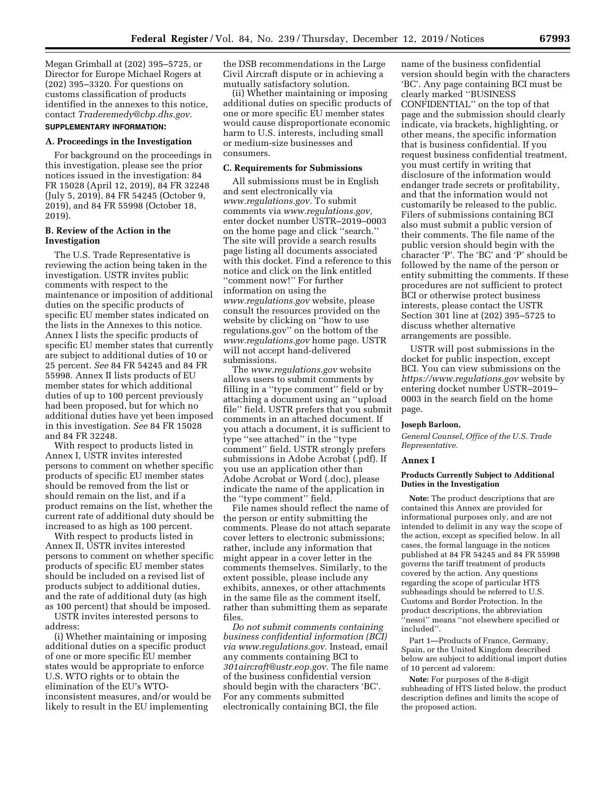Megan Grimball at (202) 395–5725, or Director for Europe Michael Rogers at (202) 395–3320. For questions on customs classification of products identified in the annexes to this notice, contact *[Traderemedy@cbp.dhs.gov.](mailto:Traderemedy@cbp.dhs.gov)* 

### **SUPPLEMENTARY INFORMATION:**

#### **A. Proceedings in the Investigation**

For background on the proceedings in this investigation, please see the prior notices issued in the investigation: 84 FR 15028 (April 12, 2019), 84 FR 32248 (July 5, 2019), 84 FR 54245 (October 9, 2019), and 84 FR 55998 (October 18, 2019).

## **B. Review of the Action in the Investigation**

The U.S. Trade Representative is reviewing the action being taken in the investigation. USTR invites public comments with respect to the maintenance or imposition of additional duties on the specific products of specific EU member states indicated on the lists in the Annexes to this notice. Annex I lists the specific products of specific EU member states that currently are subject to additional duties of 10 or 25 percent. *See* 84 FR 54245 and 84 FR 55998. Annex II lists products of EU member states for which additional duties of up to 100 percent previously had been proposed, but for which no additional duties have yet been imposed in this investigation. *See* 84 FR 15028 and 84 FR 32248.

With respect to products listed in Annex I, USTR invites interested persons to comment on whether specific products of specific EU member states should be removed from the list or should remain on the list, and if a product remains on the list, whether the current rate of additional duty should be increased to as high as 100 percent.

With respect to products listed in Annex II, USTR invites interested persons to comment on whether specific products of specific EU member states should be included on a revised list of products subject to additional duties, and the rate of additional duty (as high as 100 percent) that should be imposed.

USTR invites interested persons to address:

(i) Whether maintaining or imposing additional duties on a specific product of one or more specific EU member states would be appropriate to enforce U.S. WTO rights or to obtain the elimination of the EU's WTOinconsistent measures, and/or would be likely to result in the EU implementing

the DSB recommendations in the Large Civil Aircraft dispute or in achieving a mutually satisfactory solution.

(ii) Whether maintaining or imposing additional duties on specific products of one or more specific EU member states would cause disproportionate economic harm to U.S. interests, including small or medium-size businesses and consumers.

### **C. Requirements for Submissions**

All submissions must be in English and sent electronically via *[www.regulations.gov.](http://www.regulations.gov)* To submit comments via *[www.regulations.gov,](http://www.regulations.gov)*  enter docket number USTR–2019–0003 on the home page and click ''search.'' The site will provide a search results page listing all documents associated with this docket. Find a reference to this notice and click on the link entitled ''comment now!'' For further information on using the *[www.regulations.gov](http://www.regulations.gov)* website, please consult the resources provided on the website by clicking on ''how to use regulations.gov'' on the bottom of the *[www.regulations.gov](http://www.regulations.gov)* home page. USTR will not accept hand-delivered submissions.

The *[www.regulations.gov](http://www.regulations.gov)* website allows users to submit comments by filling in a ''type comment'' field or by attaching a document using an ''upload file'' field. USTR prefers that you submit comments in an attached document. If you attach a document, it is sufficient to type ''see attached'' in the ''type comment'' field. USTR strongly prefers submissions in Adobe Acrobat (.pdf). If you use an application other than Adobe Acrobat or Word (.doc), please indicate the name of the application in the ''type comment'' field.

File names should reflect the name of the person or entity submitting the comments. Please do not attach separate cover letters to electronic submissions; rather, include any information that might appear in a cover letter in the comments themselves. Similarly, to the extent possible, please include any exhibits, annexes, or other attachments in the same file as the comment itself, rather than submitting them as separate files.

*Do not submit comments containing business confidential information (BCI) via [www.regulations.gov.](http://www.regulations.gov)* Instead, email any comments containing BCI to *[301aircraft@ustr.eop.gov.](mailto:301aircraft@ustr.eop.gov)* The file name of the business confidential version should begin with the characters 'BC'. For any comments submitted electronically containing BCI, the file

name of the business confidential version should begin with the characters 'BC'. Any page containing BCI must be clearly marked ''BUSINESS CONFIDENTIAL'' on the top of that page and the submission should clearly indicate, via brackets, highlighting, or other means, the specific information that is business confidential. If you request business confidential treatment, you must certify in writing that disclosure of the information would endanger trade secrets or profitability, and that the information would not customarily be released to the public. Filers of submissions containing BCI also must submit a public version of their comments. The file name of the public version should begin with the character 'P'. The 'BC' and 'P' should be followed by the name of the person or entity submitting the comments. If these procedures are not sufficient to protect BCI or otherwise protect business interests, please contact the USTR Section 301 line at (202) 395–5725 to discuss whether alternative arrangements are possible.

USTR will post submissions in the docket for public inspection, except BCI. You can view submissions on the *<https://www.regulations.gov>* website by entering docket number USTR–2019– 0003 in the search field on the home page.

#### **Joseph Barloon,**

*General Counsel, Office of the U.S. Trade Representative.* 

#### **Annex I**

#### **Products Currently Subject to Additional Duties in the Investigation**

**Note:** The product descriptions that are contained this Annex are provided for informational purposes only, and are not intended to delimit in any way the scope of the action, except as specified below. In all cases, the formal language in the notices published at 84 FR 54245 and 84 FR 55998 governs the tariff treatment of products covered by the action. Any questions regarding the scope of particular HTS subheadings should be referred to U.S. Customs and Border Protection. In the product descriptions, the abbreviation ''nesoi'' means ''not elsewhere specified or included''.

Part 1—Products of France, Germany, Spain, or the United Kingdom described below are subject to additional import duties of 10 percent ad valorem:

**Note:** For purposes of the 8-digit subheading of HTS listed below, the product description defines and limits the scope of the proposed action.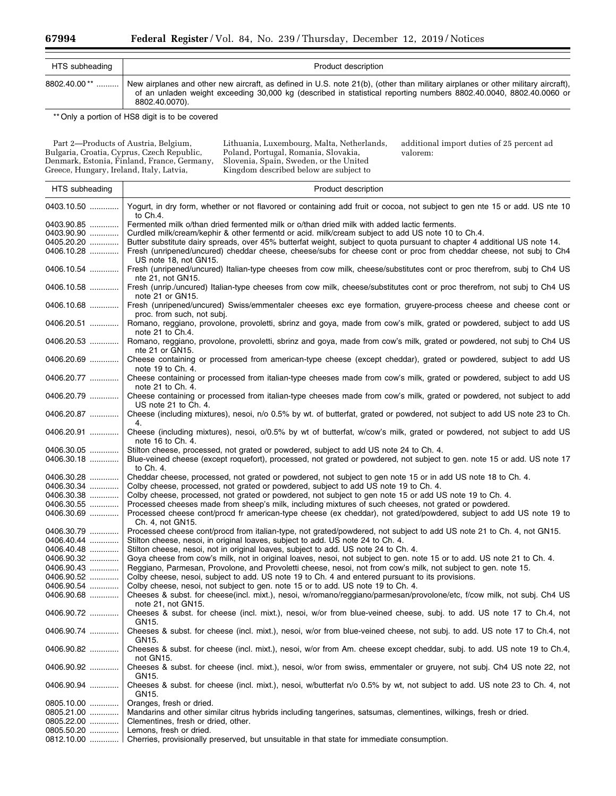| HTS subheading | Product description                                                                                                                                                                                                                                                      |
|----------------|--------------------------------------------------------------------------------------------------------------------------------------------------------------------------------------------------------------------------------------------------------------------------|
| 8802.40.00**   | New airplanes and other new aircraft, as defined in U.S. note 21(b), (other than military airplanes or other military aircraft),<br>of an unladen weight exceeding 30,000 kg (described in statistical reporting numbers 8802.40.0040, 8802.40.0060 or<br>8802.40.0070). |

\*\* Only a portion of HS8 digit is to be covered

Part 2—Products of Austria, Belgium, Bulgaria, Croatia, Cyprus, Czech Republic, Denmark, Estonia, Finland, France, Germany, Greece, Hungary, Ireland, Italy, Latvia,

Lithuania, Luxembourg, Malta, Netherlands, Poland, Portugal, Romania, Slovakia, Slovenia, Spain, Sweden, or the United Kingdom described below are subject to

additional import duties of 25 percent ad valorem:

| HTS subheading                         | Product description                                                                                                                                                                                                                                                                                                           |
|----------------------------------------|-------------------------------------------------------------------------------------------------------------------------------------------------------------------------------------------------------------------------------------------------------------------------------------------------------------------------------|
| 0403.10.50                             | Yogurt, in dry form, whether or not flavored or containing add fruit or cocoa, not subject to gen nte 15 or add. US nte 10<br>to $Ch.4.$                                                                                                                                                                                      |
| 0403.90.85<br>0403.90.90<br>0405.20.20 | Fermented milk o/than dried fermented milk or o/than dried milk with added lactic ferments.<br>Curdled milk/cream/kephir & other fermentd or acid. milk/cream subject to add US note 10 to Ch.4.<br>Butter substitute dairy spreads, over 45% butterfat weight, subject to quota pursuant to chapter 4 additional US note 14. |
| 0406.10.28                             | Fresh (unripened/uncured) cheddar cheese, cheese/subs for cheese cont or proc from cheddar cheese, not subj to Ch4<br>US note 18, not GN15.                                                                                                                                                                                   |
| 0406.10.54                             | Fresh (unripened/uncured) Italian-type cheeses from cow milk, cheese/substitutes cont or proc therefrom, subj to Ch4 US<br>nte 21, not GN15.                                                                                                                                                                                  |
| 0406.10.58                             | Fresh (unrip./uncured) Italian-type cheeses from cow milk, cheese/substitutes cont or proc therefrom, not subj to Ch4 US<br>note 21 or GN15.                                                                                                                                                                                  |
| 0406.10.68                             | Fresh (unripened/uncured) Swiss/emmentaler cheeses exc eye formation, gruyere-process cheese and cheese cont or<br>proc. from such, not subj.                                                                                                                                                                                 |
| 0406.20.51                             | Romano, reggiano, provolone, provoletti, sbrinz and goya, made from cow's milk, grated or powdered, subject to add US<br>note 21 to Ch.4.                                                                                                                                                                                     |
| 0406.20.53                             | Romano, reggiano, provolone, provoletti, sbrinz and goya, made from cow's milk, grated or powdered, not subj to Ch4 US<br>nte 21 or GN15.                                                                                                                                                                                     |
| 0406.20.69                             | Cheese containing or processed from american-type cheese (except cheddar), grated or powdered, subject to add US<br>note 19 to Ch. 4.                                                                                                                                                                                         |
| 0406.20.77                             | Cheese containing or processed from italian-type cheeses made from cow's milk, grated or powdered, subject to add US<br>note 21 to Ch. 4.                                                                                                                                                                                     |
| 0406.20.79                             | Cheese containing or processed from italian-type cheeses made from cow's milk, grated or powdered, not subject to add<br>US note 21 to Ch. 4.                                                                                                                                                                                 |
| 0406.20.87                             | Cheese (including mixtures), nesoi, n/o 0.5% by wt. of butterfat, grated or powdered, not subject to add US note 23 to Ch.<br>4.                                                                                                                                                                                              |
| 0406.20.91                             | Cheese (including mixtures), nesoi, o/0.5% by wt of butterfat, w/cow's milk, grated or powdered, not subject to add US<br>note 16 to Ch. 4.                                                                                                                                                                                   |
| 0406.30.05<br>0406.30.18               | Stilton cheese, processed, not grated or powdered, subject to add US note 24 to Ch. 4.<br>Blue-veined cheese (except roquefort), processed, not grated or powdered, not subject to gen. note 15 or add. US note 17<br>to Ch. 4.                                                                                               |
| 0406.30.28                             | Cheddar cheese, processed, not grated or powdered, not subject to gen note 15 or in add US note 18 to Ch. 4.                                                                                                                                                                                                                  |
| 0406.30.34                             | Colby cheese, processed, not grated or powdered, subject to add US note 19 to Ch. 4.                                                                                                                                                                                                                                          |
| 0406.30.38<br>0406.30.55               | Colby cheese, processed, not grated or powdered, not subject to gen note 15 or add US note 19 to Ch. 4.<br>Processed cheeses made from sheep's milk, including mixtures of such cheeses, not grated or powdered.                                                                                                              |
| 0406.30.69                             | Processed cheese cont/procd fr american-type cheese (ex cheddar), not grated/powdered, subject to add US note 19 to<br>Ch. 4, not GN15.                                                                                                                                                                                       |
| 0406.30.79                             | Processed cheese cont/procd from italian-type, not grated/powdered, not subject to add US note 21 to Ch. 4, not GN15.                                                                                                                                                                                                         |
| 0406.40.44                             | Stilton cheese, nesoi, in original loaves, subject to add. US note 24 to Ch. 4.                                                                                                                                                                                                                                               |
| 0406.40.48                             | Stilton cheese, nesoi, not in original loaves, subject to add. US note 24 to Ch. 4.                                                                                                                                                                                                                                           |
| 0406.90.32                             | Goya cheese from cow's milk, not in original loaves, nesoi, not subject to gen. note 15 or to add. US note 21 to Ch. 4.                                                                                                                                                                                                       |
| 0406.90.43<br>0406.90.52               | Reggiano, Parmesan, Provolone, and Provoletti cheese, nesoi, not from cow's milk, not subject to gen. note 15.<br>Colby cheese, nesoi, subject to add. US note 19 to Ch. 4 and entered pursuant to its provisions.                                                                                                            |
| 0406.90.54                             | Colby cheese, nesoi, not subject to gen. note 15 or to add. US note 19 to Ch. 4.                                                                                                                                                                                                                                              |
| 0406.90.68                             | Cheeses & subst. for cheese(incl. mixt.), nesoi, w/romano/reggiano/parmesan/provolone/etc, f/cow milk, not subj. Ch4 US<br>note 21, not GN15.                                                                                                                                                                                 |
| 0406.90.72                             | Cheeses & subst. for cheese (incl. mixt.), nesoi, w/or from blue-veined cheese, subj. to add. US note 17 to Ch.4, not<br>GN15.                                                                                                                                                                                                |
| 0406.90.74                             | Cheeses & subst. for cheese (incl. mixt.), nesoi, w/or from blue-veined cheese, not subj. to add. US note 17 to Ch.4, not<br>GN15.                                                                                                                                                                                            |
| 0406.90.82                             | Cheeses & subst. for cheese (incl. mixt.), nesoi, w/or from Am. cheese except cheddar, subj. to add. US note 19 to Ch.4,<br>not GN15.                                                                                                                                                                                         |
| 0406.90.92                             | Cheeses & subst. for cheese (incl. mixt.), nesoi, w/or from swiss, emmentaler or gruyere, not subj. Ch4 US note 22, not<br>GN15.                                                                                                                                                                                              |
| 0406.90.94                             | Cheeses & subst. for cheese (incl. mixt.), nesoi, w/butterfat n/o 0.5% by wt, not subject to add. US note 23 to Ch. 4, not<br>GN15.                                                                                                                                                                                           |
| 0805.10.00                             | Oranges, fresh or dried.                                                                                                                                                                                                                                                                                                      |
| 0805.21.00                             | Mandarins and other similar citrus hybrids including tangerines, satsumas, clementines, wilkings, fresh or dried.                                                                                                                                                                                                             |
| 0805.22.00                             | Clementines, fresh or dried, other.                                                                                                                                                                                                                                                                                           |
| 0805.50.20<br>0812.10.00               | Lemons, fresh or dried.<br>Cherries, provisionally preserved, but unsuitable in that state for immediate consumption.                                                                                                                                                                                                         |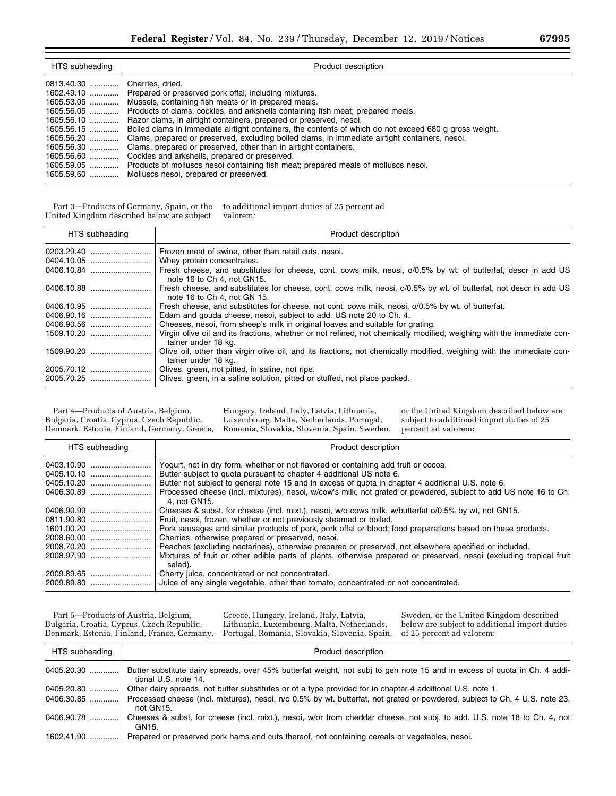| HTS subheading | Product description                                                                                    |
|----------------|--------------------------------------------------------------------------------------------------------|
| 0813.40.30     | Cherries, dried.                                                                                       |
|                | 1602.49.10    Prepared or preserved pork offal, including mixtures.                                    |
| 1605.53.05     | Mussels, containing fish meats or in prepared meals.                                                   |
|                | Products of clams, cockles, and arkshells containing fish meat; prepared meals.                        |
| 1605.56.10     | Razor clams, in airtight containers, prepared or preserved, nesoi.                                     |
| 1605.56.15     | Boiled clams in immediate airtight containers, the contents of which do not exceed 680 g gross weight. |
| $1605.56.20$   | Clams, prepared or preserved, excluding boiled clams, in immediate airtight containers, nesoi.         |
| 1605.56.30     | Clams, prepared or preserved, other than in airtight containers.                                       |
| 1605.56.60     | Cockles and arkshells, prepared or preserved.                                                          |
| 1605.59.05     | Products of molluscs nesoi containing fish meat; prepared meals of molluscs nesoi.                     |
|                | 1605.59.60    Molluscs nesoi, prepared or preserved.                                                   |

Part 3—Products of Germany, Spain, or the United Kingdom described below are subject to additional import duties of 25 percent ad valorem:

| HTS subheading | Product description                                                                                                                              |
|----------------|--------------------------------------------------------------------------------------------------------------------------------------------------|
| 0203.29.40     | Frozen meat of swine, other than retail cuts, nesoi.                                                                                             |
|                |                                                                                                                                                  |
|                | Fresh cheese, and substitutes for cheese, cont. cows milk, neosi, o/0.5% by wt. of butterfat, descr in add US<br>note 16 to Ch 4, not GN15.      |
| 0406.10.88     | Fresh cheese, and substitutes for cheese, cont. cows milk, neosi, o/0.5% by wt. of butterfat, not descr in add US<br>note 16 to Ch 4, not GN 15. |
| 0406.10.95     | Fresh cheese, and substitutes for cheese, not cont. cows milk, neosi, o/0.5% by wt. of butterfat.                                                |
|                | Edam and gouda cheese, nesol, subject to add. US note 20 to Ch. 4.                                                                               |
|                | Cheeses, nesoi, from sheep's milk in original loaves and suitable for grating.                                                                   |
|                | Virgin olive oil and its fractions, whether or not refined, not chemically modified, weighing with the immediate con-<br>tainer under 18 kg.     |
| 1509.90.20     | Olive oil, other than virgin olive oil, and its fractions, not chemically modified, weighing with the immediate con-<br>tainer under 18 kg.      |
| 2005.70.12     | Olives, green, not pitted, in saline, not ripe.                                                                                                  |
|                |                                                                                                                                                  |

Part 4—Products of Austria, Belgium, Bulgaria, Croatia, Cyprus, Czech Republic, Denmark, Estonia, Finland, Germany, Greece, Hungary, Ireland, Italy, Latvia, Lithuania, Luxembourg, Malta, Netherlands, Portugal, Romania, Slovakia, Slovenia, Spain, Sweden, or the United Kingdom described below are subject to additional import duties of 25 percent ad valorem:

| HTS subheading | Product description                                                                                                              |
|----------------|----------------------------------------------------------------------------------------------------------------------------------|
| 0403.10.90     | Yogurt, not in dry form, whether or not flavored or containing add fruit or cocoa.                                               |
| 0405.10.10     | Butter subject to quota pursuant to chapter 4 additional US note 6.                                                              |
| 0405.10.20     | Butter not subject to general note 15 and in excess of guota in chapter 4 additional U.S. note 6.                                |
|                | Processed cheese (incl. mixtures), nesoi, w/cow's milk, not grated or powdered, subject to add US note 16 to Ch.<br>4. not GN15. |
| 0406.90.99     | Cheeses & subst. for cheese (incl. mixt.), nesoi, w/o cows milk, w/butterfat o/0.5% by wt, not GN15.                             |
| 0811.90.80     | Fruit, nesoi, frozen, whether or not previously steamed or boiled.                                                               |
| 1601.00.20     | Pork sausages and similar products of pork, pork offal or blood; food preparations based on these products.                      |
|                | Cherries, otherwise prepared or preserved, nesoi.                                                                                |
| 2008.70.20     | Peaches (excluding nectarines), otherwise prepared or preserved, not elsewhere specified or included.                            |
| 2008.97.90     | Mixtures of fruit or other edible parts of plants, otherwise prepared or preserved, nesoi (excluding tropical fruit<br>salad).   |
| 2009.89.65     | Cherry juice, concentrated or not concentrated.                                                                                  |
|                | Juice of any single vegetable, other than tomato, concentrated or not concentrated.                                              |

Part 5—Products of Austria, Belgium, Bulgaria, Croatia, Cyprus, Czech Republic, Denmark, Estonia, Finland, France, Germany,

Greece, Hungary, Ireland, Italy, Latvia, Lithuania, Luxembourg, Malta, Netherlands, Portugal, Romania, Slovakia, Slovenia, Spain,

Sweden, or the United Kingdom described below are subject to additional import duties of 25 percent ad valorem:

| HTS subheading | Product description                                                                                                                               |
|----------------|---------------------------------------------------------------------------------------------------------------------------------------------------|
| 0405.20.30     | Butter substitute dairy spreads, over 45% butterfat weight, not subj to gen note 15 and in excess of quota in Ch. 4 addi-<br>tional U.S. note 14. |
| 0405.20.80     | Other dairy spreads, not butter substitutes or of a type provided for in chapter 4 additional U.S. note 1.                                        |
| 0406.30.85     | Processed cheese (incl. mixtures), nesoi, n/o 0.5% by wt. butterfat, not grated or powdered, subject to Ch. 4 U.S. note 23,<br>not GN15.          |
| 0406.90.78     | Cheeses & subst. for cheese (incl. mixt.), nesoi, w/or from cheddar cheese, not subj. to add. U.S. note 18 to Ch. 4, not<br>GN15.                 |
| 1602.41.90     | Prepared or preserved pork hams and cuts thereof, not containing cereals or vegetables, nesoi.                                                    |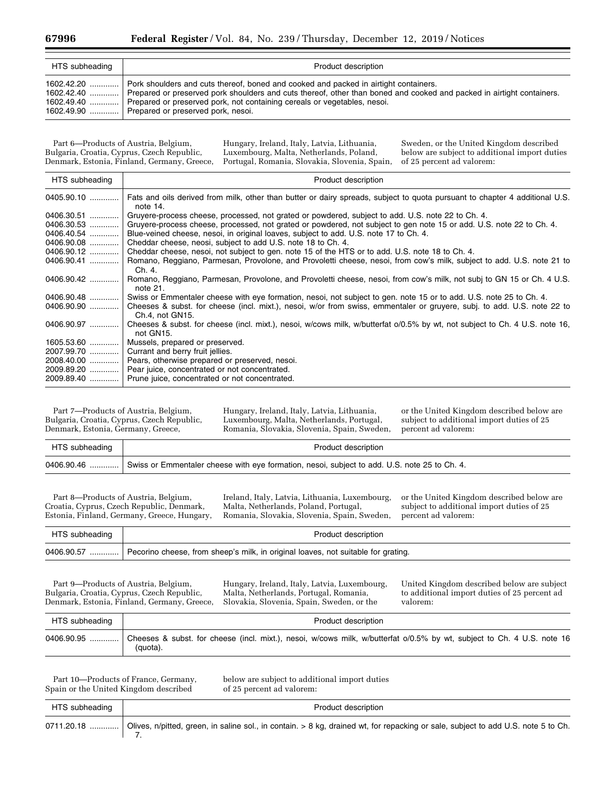| HTS subheading             | Product description                                                                                                                                                                                                                                                                                                                                       |
|----------------------------|-----------------------------------------------------------------------------------------------------------------------------------------------------------------------------------------------------------------------------------------------------------------------------------------------------------------------------------------------------------|
| $1602.42.20$<br>1602.42.40 | Pork shoulders and cuts thereof, boned and cooked and packed in airtight containers.<br>Prepared or preserved pork shoulders and cuts thereof, other than boned and cooked and packed in airtight containers.<br>1602.49.40  Prepared or preserved pork, not containing cereals or vegetables, nesoi.<br>1602.49.90    Prepared or preserved pork, nesoi. |

Part 6—Products of Austria, Belgium, Bulgaria, Croatia, Cyprus, Czech Republic, Denmark, Estonia, Finland, Germany, Greece,

Hungary, Ireland, Italy, Latvia, Lithuania, Luxembourg, Malta, Netherlands, Poland, Portugal, Romania, Slovakia, Slovenia, Spain,

Sweden, or the United Kingdom described below are subject to additional import duties of 25 percent ad valorem:

| Product description                                                                                                                        |
|--------------------------------------------------------------------------------------------------------------------------------------------|
| Fats and oils derived from milk, other than butter or dairy spreads, subject to quota pursuant to chapter 4 additional U.S.<br>note 14.    |
| Gruyere-process cheese, processed, not grated or powdered, subject to add. U.S. note 22 to Ch. 4.                                          |
| Gruyere-process cheese, processed, not grated or powdered, not subject to gen note 15 or add. U.S. note 22 to Ch. 4.                       |
| Blue-veined cheese, nesol, in original loaves, subject to add. U.S. note 17 to Ch. 4.                                                      |
| Cheddar cheese, neosi, subject to add U.S. note 18 to Ch. 4.                                                                               |
| Cheddar cheese, nesol, not subject to gen. note 15 of the HTS or to add. U.S. note 18 to Ch. 4.                                            |
| Romano, Reggiano, Parmesan, Provolone, and Provoletti cheese, nesoi, from cow's milk, subject to add. U.S. note 21 to<br>Ch. 4.            |
| Romano, Reggiano, Parmesan, Provolone, and Provoletti cheese, nesoi, from cow's milk, not subj to GN 15 or Ch. 4 U.S.<br>note $21.$        |
| Swiss or Emmentaler cheese with eye formation, nesol, not subject to gen. note 15 or to add. U.S. note 25 to Ch. 4.                        |
| Cheeses & subst. for cheese (incl. mixt.), nesoi, w/or from swiss, emmentaler or gruyere, subj. to add. U.S. note 22 to<br>Ch.4, not GN15. |
| Cheeses & subst. for cheese (incl. mixt.), nesoi, w/cows milk, w/butterfat o/0.5% by wt, not subject to Ch. 4 U.S. note 16,<br>not GN15.   |
| Mussels, prepared or preserved.                                                                                                            |
| 2007.99.70    Currant and berry fruit jellies.                                                                                             |
| Pears, otherwise prepared or preserved, nesoi.<br>2008.40.00                                                                               |
| Pear juice, concentrated or not concentrated.                                                                                              |
| 2009.89.40  Prune juice, concentrated or not concentrated.                                                                                 |
|                                                                                                                                            |

Part 7—Products of Austria, Belgium, Bulgaria, Croatia, Cyprus, Czech Republic, Denmark, Estonia, Germany, Greece,

Hungary, Ireland, Italy, Latvia, Lithuania, Luxembourg, Malta, Netherlands, Portugal, Romania, Slovakia, Slovenia, Spain, Sweden, or the United Kingdom described below are subject to additional import duties of 25 percent ad valorem:

| HTS subheading | Product description                                                                                      |
|----------------|----------------------------------------------------------------------------------------------------------|
|                | 0406.90.46  Swiss or Emmentaler cheese with eye formation, nesoi, subject to add. U.S. note 25 to Ch. 4. |

Part 8—Products of Austria, Belgium, Croatia, Cyprus, Czech Republic, Denmark, Estonia, Finland, Germany, Greece, Hungary, Ireland, Italy, Latvia, Lithuania, Luxembourg, Malta, Netherlands, Poland, Portugal, Romania, Slovakia, Slovenia, Spain, Sweden, or the United Kingdom described below are subject to additional import duties of 25 percent ad valorem:

| HTS subheading | Product description                                                               |
|----------------|-----------------------------------------------------------------------------------|
| 0406.90.57     | Pecorino cheese, from sheep's milk, in original loaves, not suitable for grating. |

Part 9—Products of Austria, Belgium, Bulgaria, Croatia, Cyprus, Czech Republic, Denmark, Estonia, Finland, Germany, Greece,

Hungary, Ireland, Italy, Latvia, Luxembourg, Malta, Netherlands, Portugal, Romania, Slovakia, Slovenia, Spain, Sweden, or the

United Kingdom described below are subject to additional import duties of 25 percent ad valorem:

| HTS subheading | Product description                                                                                                                |
|----------------|------------------------------------------------------------------------------------------------------------------------------------|
| $0406.90.95$   | Cheeses & subst. for cheese (incl. mixt.), nesoi, w/cows milk, w/butterfat o/0.5% by wt, subject to Ch. 4 U.S. note 16<br>(quota). |

Part 10—Products of France, Germany, Spain or the United Kingdom described

below are subject to additional import duties of 25 percent ad valorem:

| HTS subheading | Product description                                                                                                                             |
|----------------|-------------------------------------------------------------------------------------------------------------------------------------------------|
|                | 0711.20.18    Olives, n/pitted, green, in saline sol., in contain. > 8 kg, drained wt, for repacking or sale, subject to add U.S. note 5 to Ch. |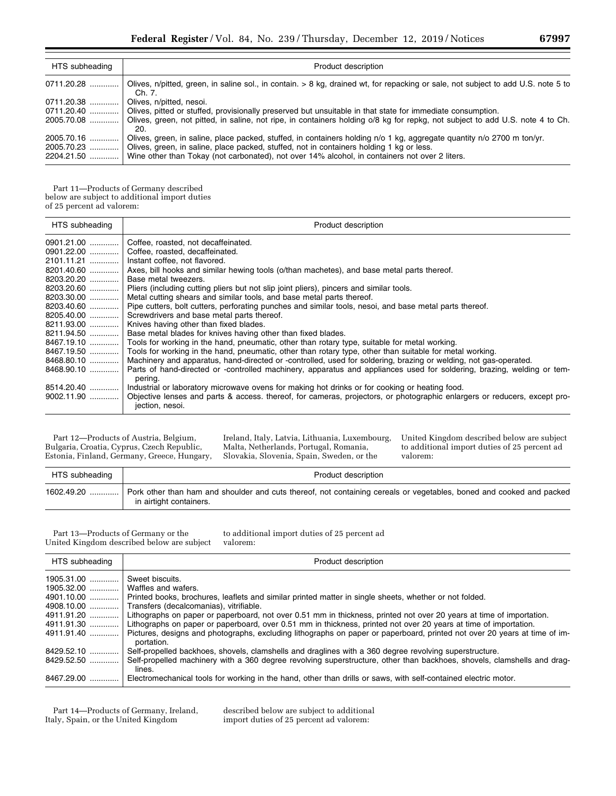| HTS subheading           | Product description                                                                                                                                                                        |
|--------------------------|--------------------------------------------------------------------------------------------------------------------------------------------------------------------------------------------|
| 0711.20.28               | Olives, n/pitted, green, in saline sol., in contain. > 8 kg, drained wt, for repacking or sale, not subject to add U.S. note 5 to<br>Ch. 7.                                                |
| 0711.20.38               | Olives, n/pitted, nesoi.                                                                                                                                                                   |
| 0711.20.40               | Olives, pitted or stuffed, provisionally preserved but unsuitable in that state for immediate consumption.                                                                                 |
| 2005.70.08               | Olives, green, not pitted, in saline, not ripe, in containers holding o/8 kg for repkg, not subject to add U.S. note 4 to Ch.<br>20.                                                       |
| 2005.70.16               | Olives, green, in saline, place packed, stuffed, in containers holding n/o 1 kg, aggregate quantity n/o 2700 m ton/yr.                                                                     |
| 2005.70.23<br>2204.21.50 | Olives, green, in saline, place packed, stuffed, not in containers holding 1 kg or less.<br>Wine other than Tokay (not carbonated), not over 14% alcohol, in containers not over 2 liters. |

Part 11—Products of Germany described below are subject to additional import duties of 25 percent ad valorem:

| HTS subheading | Product description                                                                                                                          |
|----------------|----------------------------------------------------------------------------------------------------------------------------------------------|
| $0901.21.00$   | Coffee, roasted, not decaffeinated.                                                                                                          |
|                | 0901.22.00    Coffee, roasted, decaffeinated.                                                                                                |
| 2101.11.21     | Instant coffee, not flavored.                                                                                                                |
| 8201.40.60     | Axes, bill hooks and similar hewing tools (o/than machetes), and base metal parts thereof.                                                   |
| 8203.20.20     | Base metal tweezers.                                                                                                                         |
| 8203.20.60     | Pliers (including cutting pliers but not slip joint pliers), pincers and similar tools.                                                      |
| 8203.30.00     | Metal cutting shears and similar tools, and base metal parts thereof.                                                                        |
| 8203.40.60     | Pipe cutters, bolt cutters, perforating punches and similar tools, nesoi, and base metal parts thereof.                                      |
| 8205.40.00     | Screwdrivers and base metal parts thereof.                                                                                                   |
| 8211.93.00     | Knives having other than fixed blades.                                                                                                       |
| 8211.94.50     | Base metal blades for knives having other than fixed blades.                                                                                 |
|                | 8467.19.10  Tools for working in the hand, pneumatic, other than rotary type, suitable for metal working.                                    |
|                | 8467.19.50  Tools for working in the hand, pneumatic, other than rotary type, other than suitable for metal working.                         |
| 8468.80.10     | Machinery and apparatus, hand-directed or -controlled, used for soldering, brazing or welding, not gas-operated.                             |
| 8468.90.10     | Parts of hand-directed or -controlled machinery, apparatus and appliances used for soldering, brazing, welding or tem-                       |
|                | pering.                                                                                                                                      |
| 8514.20.40     | Industrial or laboratory microwave ovens for making hot drinks or for cooking or heating food.                                               |
| 9002.11.90     | Objective lenses and parts & access, thereof, for cameras, projectors, or photographic enlargers or reducers, except pro-<br>jection, nesoi. |

Part 12—Products of Austria, Belgium, Bulgaria, Croatia, Cyprus, Czech Republic, Estonia, Finland, Germany, Greece, Hungary, Ireland, Italy, Latvia, Lithuania, Luxembourg, Malta, Netherlands, Portugal, Romania, Slovakia, Slovenia, Spain, Sweden, or the

United Kingdom described below are subject to additional import duties of 25 percent ad valorem:

| HTS subheading | Product description                                                                                                                             |
|----------------|-------------------------------------------------------------------------------------------------------------------------------------------------|
| $1602.49.20$   | Pork other than ham and shoulder and cuts thereof, not containing cereals or vegetables, boned and cooked and packed<br>in airtight containers. |

Part 13—Products of Germany or the United Kingdom described below are subject

to additional import duties of 25 percent ad valorem:

| HTS subheading | Product description                                                                                                                     |
|----------------|-----------------------------------------------------------------------------------------------------------------------------------------|
| 1905.31.00<br> | Sweet biscuits.                                                                                                                         |
| $1905.32.00$   | Waffles and wafers.                                                                                                                     |
| 4901.10.00     | Printed books, brochures, leaflets and similar printed matter in single sheets, whether or not folded.                                  |
| 4908.10.00     | Transfers (decalcomanias), vitrifiable.                                                                                                 |
| 4911.91.20     | Lithographs on paper or paperboard, not over 0.51 mm in thickness, printed not over 20 years at time of importation.                    |
| 4911.91.30     | Lithographs on paper or paperboard, over 0.51 mm in thickness, printed not over 20 years at time of importation.                        |
| 4911.91.40     | Pictures, designs and photographs, excluding lithographs on paper or paperboard, printed not over 20 years at time of im-<br>portation. |
| 8429.52.10     | Self-propelled backhoes, shovels, clamshells and draglines with a 360 degree revolving superstructure.                                  |
| 8429.52.50     | Self-propelled machinery with a 360 degree revolving superstructure, other than backhoes, shovels, clamshells and drag-<br>lines.       |
| 8467.29.00     | Electromechanical tools for working in the hand, other than drills or saws, with self-contained electric motor.                         |

Part 14—Products of Germany, Ireland, Italy, Spain, or the United Kingdom

described below are subject to additional import duties of 25 percent ad valorem: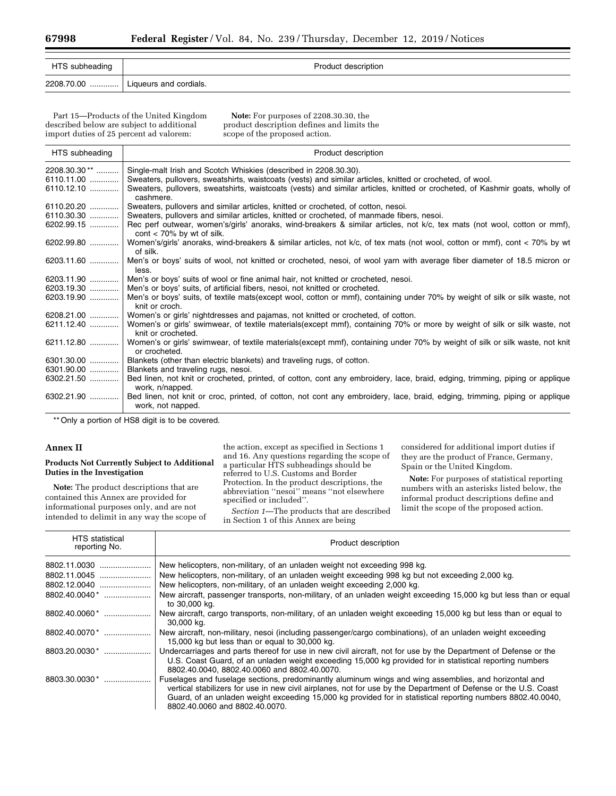| HTS subheading | Product description                  |
|----------------|--------------------------------------|
|                | 2208.70.00    Liqueurs and cordials. |

Part 15—Products of the United Kingdom described below are subject to additional import duties of 25 percent ad valorem:

**Note:** For purposes of 2208.30.30, the product description defines and limits the scope of the proposed action.

| HTS subheading           | Product description                                                                                                                                            |
|--------------------------|----------------------------------------------------------------------------------------------------------------------------------------------------------------|
| 2208.30.30 <sup>**</sup> | Single-malt Irish and Scotch Whiskies (described in 2208.30.30).                                                                                               |
| $6110.11.00$             | Sweaters, pullovers, sweatshirts, waistcoats (vests) and similar articles, knitted or crocheted, of wool.                                                      |
| 6110.12.10               | Sweaters, pullovers, sweatshirts, waistcoats (vests) and similar articles, knitted or crocheted, of Kashmir goats, wholly of<br>cashmere.                      |
| 6110.20.20               | Sweaters, pullovers and similar articles, knitted or crocheted, of cotton, nesoi.                                                                              |
| $6110.30.30$             | Sweaters, pullovers and similar articles, knitted or crocheted, of manmade fibers, nesoi.                                                                      |
| 6202.99.15               | Rec perf outwear, women's/girls' anoraks, wind-breakers & similar articles, not k/c, tex mats (not wool, cotton or mmf),<br>$\text{cont}$ < 70% by wt of silk. |
| 6202.99.80               | Women's/girls' anoraks, wind-breakers & similar articles, not k/c, of tex mats (not wool, cotton or mmf), cont < 70% by wt<br>of silk.                         |
| 6203.11.60               | Men's or boys' suits of wool, not knitted or crocheted, nesoi, of wool yarn with average fiber diameter of 18.5 micron or<br>less.                             |
| 6203.11.90               | Men's or boys' suits of wool or fine animal hair, not knitted or crocheted, nesoi.                                                                             |
| 6203.19.30               | Men's or boys' suits, of artificial fibers, nesoi, not knitted or crocheted.                                                                                   |
| 6203.19.90               | Men's or boys' suits, of textile mats(except wool, cotton or mmf), containing under 70% by weight of silk or silk waste, not<br>knit or croch.                 |
| $6208.21.00$             | Women's or girls' nightdresses and pajamas, not knitted or crocheted, of cotton.                                                                               |
| 6211.12.40               | Women's or girls' swimwear, of textile materials(except mmf), containing 70% or more by weight of silk or silk waste, not<br>knit or crocheted.                |
| 6211.12.80               | Women's or girls' swimwear, of textile materials(except mmf), containing under 70% by weight of silk or silk waste, not knit<br>or crocheted.                  |
| 6301.30.00               | Blankets (other than electric blankets) and traveling rugs, of cotton.                                                                                         |
| $6301.90.00$             | Blankets and traveling rugs, nesoi.                                                                                                                            |
| 6302.21.50               | Bed linen, not knit or crocheted, printed, of cotton, cont any embroidery, lace, braid, edging, trimming, piping or applique<br>work, n/napped.                |
| 6302.21.90               | Bed linen, not knit or croc, printed, of cotton, not cont any embroidery, lace, braid, edging, trimming, piping or applique<br>work, not napped.               |
|                          | $\star$ Only a newtian of LICO digit is to be covered                                                                                                          |

Only a portion of HS8 digit is to be covered.

## **Annex II**

### **Products Not Currently Subject to Additional Duties in the Investigation**

**Note:** The product descriptions that are contained this Annex are provided for informational purposes only, and are not intended to delimit in any way the scope of

the action, except as specified in Sections 1 and 16. Any questions regarding the scope of a particular HTS subheadings should be referred to U.S. Customs and Border Protection. In the product descriptions, the abbreviation ''nesoi'' means ''not elsewhere specified or included''.

*Section 1*—The products that are described in Section 1 of this Annex are being

considered for additional import duties if they are the product of France, Germany, Spain or the United Kingdom.

**Note:** For purposes of statistical reporting numbers with an asterisks listed below, the informal product descriptions define and limit the scope of the proposed action.

| <b>HTS</b> statistical<br>reporting No. | Product description                                                                                                                                                                                                                                                                                                                                                       |
|-----------------------------------------|---------------------------------------------------------------------------------------------------------------------------------------------------------------------------------------------------------------------------------------------------------------------------------------------------------------------------------------------------------------------------|
| 8802.11.0030                            | New helicopters, non-military, of an unladen weight not exceeding 998 kg.                                                                                                                                                                                                                                                                                                 |
| 8802.11.0045                            | New helicopters, non-military, of an unladen weight exceeding 998 kg but not exceeding 2,000 kg.                                                                                                                                                                                                                                                                          |
| 8802.12.0040                            | New helicopters, non-military, of an unladen weight exceeding 2,000 kg.                                                                                                                                                                                                                                                                                                   |
| $8802.40.0040$ <sup>*</sup>             | New aircraft, passenger transports, non-military, of an unladen weight exceeding 15,000 kg but less than or equal<br>to 30,000 kg.                                                                                                                                                                                                                                        |
| $8802.40.0060$ *                        | New aircraft, cargo transports, non-military, of an unladen weight exceeding 15,000 kg but less than or equal to<br>30,000 kg.                                                                                                                                                                                                                                            |
| 8802.40.0070 *                          | New aircraft, non-military, nesoi (including passenger/cargo combinations), of an unladen weight exceeding<br>15,000 kg but less than or equal to 30,000 kg.                                                                                                                                                                                                              |
| $8803.20.0030$ <sup>*</sup>             | Undercarriages and parts thereof for use in new civil aircraft, not for use by the Department of Defense or the<br>U.S. Coast Guard, of an unladen weight exceeding 15,000 kg provided for in statistical reporting numbers<br>8802.40.0040, 8802.40.0060 and 8802.40.0070.                                                                                               |
| 8803.30.0030 *                          | Fuselages and fuselage sections, predominantly aluminum wings and wing assemblies, and horizontal and<br>vertical stabilizers for use in new civil airplanes, not for use by the Department of Defense or the U.S. Coast<br>Guard, of an unladen weight exceeding 15,000 kg provided for in statistical reporting numbers 8802.40.0040,<br>8802.40.0060 and 8802.40.0070. |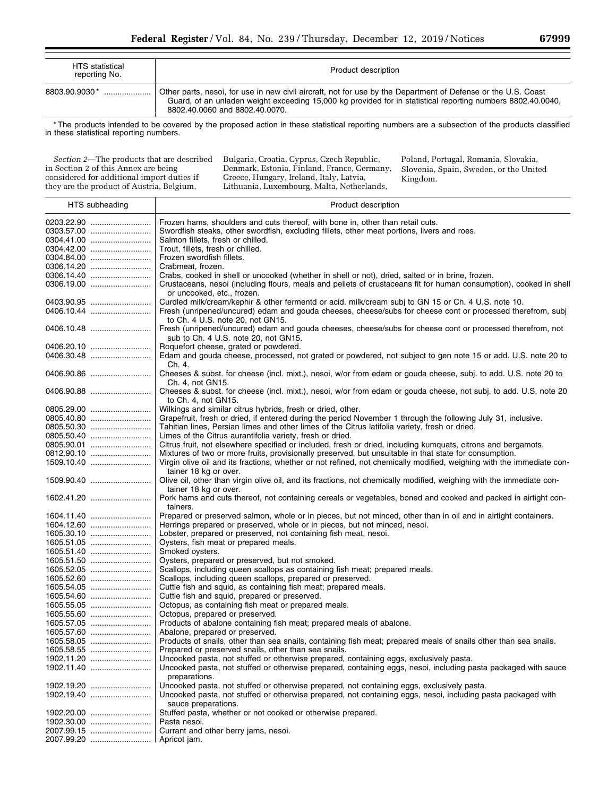| <b>HTS</b> statistical<br>reporting No. | Product description                                                                                                                                                                                                                                            |
|-----------------------------------------|----------------------------------------------------------------------------------------------------------------------------------------------------------------------------------------------------------------------------------------------------------------|
| 8803.90.9030 *                          | Other parts, nesol, for use in new civil aircraft, not for use by the Department of Defense or the U.S. Coast<br>Guard, of an unladen weight exceeding 15,000 kg provided for in statistical reporting numbers 8802.40.0040,<br>8802.40.0060 and 8802.40.0070. |

\* The products intended to be covered by the proposed action in these statistical reporting numbers are a subsection of the products classified in these statistical reporting numbers.

*Section 2*—The products that are described in Section 2 of this Annex are being considered for additional import duties if they are the product of Austria, Belgium,

Bulgaria, Croatia, Cyprus, Czech Republic, Denmark, Estonia, Finland, France, Germany, Greece, Hungary, Ireland, Italy, Latvia, Lithuania, Luxembourg, Malta, Netherlands,

Poland, Portugal, Romania, Slovakia, Slovenia, Spain, Sweden, or the United Kingdom.

| HTS subheading | Product description                                                                                                   |
|----------------|-----------------------------------------------------------------------------------------------------------------------|
|                | Frozen hams, shoulders and cuts thereof, with bone in, other than retail cuts.                                        |
|                |                                                                                                                       |
|                | Swordfish steaks, other swordfish, excluding fillets, other meat portions, livers and roes.                           |
|                | Salmon fillets, fresh or chilled.                                                                                     |
|                | Trout, fillets, fresh or chilled.                                                                                     |
|                | Frozen swordfish fillets.                                                                                             |
|                | Crabmeat, frozen.                                                                                                     |
|                | Crabs, cooked in shell or uncooked (whether in shell or not), dried, salted or in brine, frozen.                      |
| 0306.19.00     | Crustaceans, nesoi (including flours, meals and pellets of crustaceans fit for human consumption), cooked in shell    |
|                | or uncooked, etc., frozen.                                                                                            |
| 0403.90.95     | Curdled milk/cream/kephir & other fermentd or acid. milk/cream subj to GN 15 or Ch. 4 U.S. note 10.                   |
|                | Fresh (unripened/uncured) edam and gouda cheeses, cheese/subs for cheese cont or processed therefrom, subj            |
|                | to Ch. 4 U.S. note 20, not GN15.                                                                                      |
| 0406.10.48     | Fresh (unripened/uncured) edam and gouda cheeses, cheese/subs for cheese cont or processed therefrom, not             |
|                | sub to Ch. 4 U.S. note 20, not GN15.                                                                                  |
| 0406.20.10     | Roquefort cheese, grated or powdered.                                                                                 |
|                | Edam and gouda cheese, processed, not grated or powdered, not subject to gen note 15 or add. U.S. note 20 to          |
|                | Ch. 4.                                                                                                                |
| 0406.90.86     | Cheeses & subst. for cheese (incl. mixt.), nesoi, w/or from edam or gouda cheese, subj. to add. U.S. note 20 to       |
|                | Ch. 4, not GN15.                                                                                                      |
| 0406.90.88     | Cheeses & subst. for cheese (incl. mixt.), nesoi, w/or from edam or gouda cheese, not subj. to add. U.S. note 20      |
|                | to Ch. 4, not GN15.                                                                                                   |
| 0805.29.00     | Wilkings and similar citrus hybrids, fresh or dried, other.                                                           |
| 0805.40.80     | Grapefruit, fresh or dried, if entered during the period November 1 through the following July 31, inclusive.         |
| 0805.50.30     | Tahitian lines, Persian limes and other limes of the Citrus latifolia variety, fresh or dried.                        |
|                | Limes of the Citrus aurantifolia variety, fresh or dried.                                                             |
| 0805.90.01     | Citrus fruit, not elsewhere specified or included, fresh or dried, including kumquats, citrons and bergamots.         |
|                | Mixtures of two or more fruits, provisionally preserved, but unsuitable in that state for consumption.                |
| 1509.10.40     | Virgin olive oil and its fractions, whether or not refined, not chemically modified, weighing with the immediate con- |
|                | tainer 18 kg or over.                                                                                                 |
| 1509.90.40     | Olive oil, other than virgin olive oil, and its fractions, not chemically modified, weighing with the immediate con-  |
|                | tainer 18 kg or over.                                                                                                 |
| 1602.41.20     | Pork hams and cuts thereof, not containing cereals or vegetables, boned and cooked and packed in airtight con-        |
|                | tainers.                                                                                                              |
| 1604.11.40     | Prepared or preserved salmon, whole or in pieces, but not minced, other than in oil and in airtight containers.       |
|                | Herrings prepared or preserved, whole or in pieces, but not minced, nesoi.                                            |
| 1605.30.10     | Lobster, prepared or preserved, not containing fish meat, nesoi.                                                      |
| 1605.51.05     | Oysters, fish meat or prepared meals.                                                                                 |
| 1605.51.40     | Smoked oysters.                                                                                                       |
| 1605.51.50     | Oysters, prepared or preserved, but not smoked.                                                                       |
| 1605.52.05     | Scallops, including queen scallops as containing fish meat; prepared meals.                                           |
| 1605.52.60     | Scallops, including queen scallops, prepared or preserved.                                                            |
| 1605.54.05     | Cuttle fish and squid, as containing fish meat; prepared meals.                                                       |
|                | Cuttle fish and squid, prepared or preserved.                                                                         |
| 1605.55.05     | Octopus, as containing fish meat or prepared meals.                                                                   |
| 1605.55.60     | Octopus, prepared or preserved.                                                                                       |
|                | Products of abalone containing fish meat; prepared meals of abalone.                                                  |
|                | Abalone, prepared or preserved.                                                                                       |
|                | Products of snails, other than sea snails, containing fish meat; prepared meals of snails other than sea snails.      |
| 1605.58.55     | Prepared or preserved snails, other than sea snails.                                                                  |
| 1902.11.20     | Uncooked pasta, not stuffed or otherwise prepared, containing eggs, exclusively pasta.                                |
| 1902.11.40     | Uncooked pasta, not stuffed or otherwise prepared, containing eggs, nesoi, including pasta packaged with sauce        |
|                | preparations.                                                                                                         |
| 1902.19.20     | Uncooked pasta, not stuffed or otherwise prepared, not containing eggs, exclusively pasta.                            |
| 1902.19.40     | Uncooked pasta, not stuffed or otherwise prepared, not containing eggs, nesoi, including pasta packaged with          |
|                | sauce preparations.                                                                                                   |
| 1902.20.00     | Stuffed pasta, whether or not cooked or otherwise prepared.                                                           |
| 1902.30.00     | Pasta nesoi.                                                                                                          |
| 2007.99.15     | Currant and other berry jams, nesoi.                                                                                  |
|                | Apricot jam.                                                                                                          |
|                |                                                                                                                       |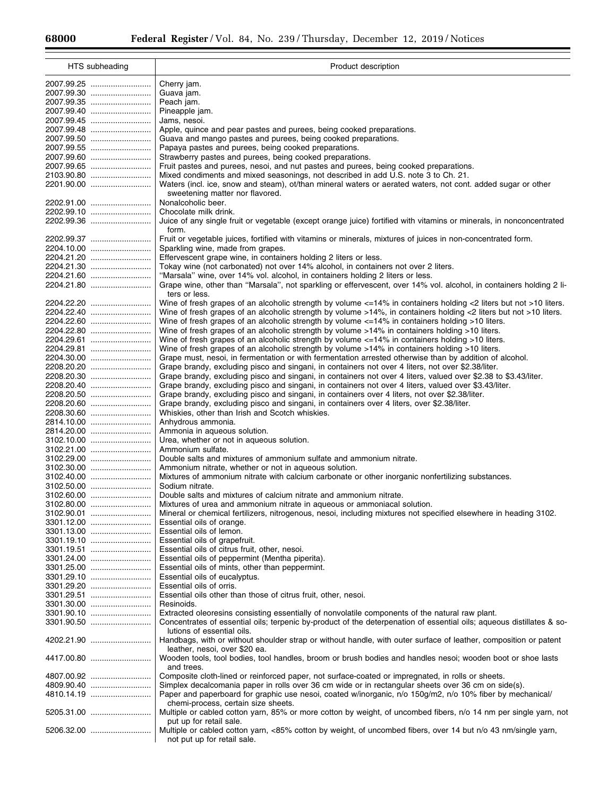Ξ

| HTS subheading           | Product description                                                                                                                                                                                         |
|--------------------------|-------------------------------------------------------------------------------------------------------------------------------------------------------------------------------------------------------------|
|                          | Cherry jam.                                                                                                                                                                                                 |
| 2007.99.30               | Guava jam.                                                                                                                                                                                                  |
|                          | Peach jam.                                                                                                                                                                                                  |
|                          | Pineapple jam.                                                                                                                                                                                              |
| 2007.99.45               | Jams, nesoi.                                                                                                                                                                                                |
|                          | Apple, quince and pear pastes and purees, being cooked preparations.                                                                                                                                        |
|                          | Guava and mango pastes and purees, being cooked preparations.                                                                                                                                               |
|                          | Papaya pastes and purees, being cooked preparations.                                                                                                                                                        |
|                          | Strawberry pastes and purees, being cooked preparations.                                                                                                                                                    |
|                          | Fruit pastes and purees, nesoi, and nut pastes and purees, being cooked preparations.                                                                                                                       |
|                          | Mixed condiments and mixed seasonings, not described in add U.S. note 3 to Ch. 21.                                                                                                                          |
| 2201.90.00               | Waters (incl. ice, snow and steam), ot/than mineral waters or aerated waters, not cont. added sugar or other                                                                                                |
|                          | sweetening matter nor flavored.                                                                                                                                                                             |
| 2202.91.00               | Nonalcoholic beer.                                                                                                                                                                                          |
|                          | Chocolate milk drink.                                                                                                                                                                                       |
| 2202.99.36               | Juice of any single fruit or vegetable (except orange juice) fortified with vitamins or minerals, in nonconcentrated<br>form.                                                                               |
| 2202.99.37               | Fruit or vegetable juices, fortified with vitamins or minerals, mixtures of juices in non-concentrated form.                                                                                                |
| 2204.10.00               | Sparkling wine, made from grapes.                                                                                                                                                                           |
| 2204.21.20               | Effervescent grape wine, in containers holding 2 liters or less.                                                                                                                                            |
| 2204.21.30               | Tokay wine (not carbonated) not over 14% alcohol, in containers not over 2 liters.                                                                                                                          |
|                          | "Marsala" wine, over 14% vol. alcohol, in containers holding 2 liters or less.                                                                                                                              |
| 2204.21.80               | Grape wine, other than "Marsala", not sparkling or effervescent, over 14% vol. alcohol, in containers holding 2 li-                                                                                         |
|                          | ters or less.                                                                                                                                                                                               |
| 2204.22.20               | Wine of fresh grapes of an alcoholic strength by volume <=14% in containers holding <2 liters but not >10 liters.                                                                                           |
|                          | Wine of fresh grapes of an alcoholic strength by volume >14%, in containers holding <2 liters but not >10 liters.                                                                                           |
|                          | Wine of fresh grapes of an alcoholic strength by volume <=14% in containers holding >10 liters.                                                                                                             |
| 2204.22.80               | Wine of fresh grapes of an alcoholic strength by volume >14% in containers holding >10 liters.<br>Wine of fresh grapes of an alcoholic strength by volume $\epsilon$ =14% in containers holding >10 liters. |
| 2204.29.61<br>2204.29.81 | Wine of fresh grapes of an alcoholic strength by volume >14% in containers holding >10 liters.                                                                                                              |
| 2204.30.00               | Grape must, nesoi, in fermentation or with fermentation arrested otherwise than by addition of alcohol.                                                                                                     |
|                          | Grape brandy, excluding pisco and singani, in containers not over 4 liters, not over \$2.38/liter.                                                                                                          |
| 2208.20.30               | Grape brandy, excluding pisco and singani, in containers not over 4 liters, valued over \$2.38 to \$3.43/liter.                                                                                             |
| 2208.20.40               | Grape brandy, excluding pisco and singani, in containers not over 4 liters, valued over \$3.43/liter.                                                                                                       |
| 2208.20.50               | Grape brandy, excluding pisco and singani, in containers over 4 liters, not over \$2.38/liter.                                                                                                              |
| 2208.20.60               | Grape brandy, excluding pisco and singani, in containers over 4 liters, over \$2.38/liter.                                                                                                                  |
| 2208.30.60               | Whiskies, other than Irish and Scotch whiskies.                                                                                                                                                             |
|                          | Anhydrous ammonia.                                                                                                                                                                                          |
|                          | Ammonia in aqueous solution.                                                                                                                                                                                |
|                          | Urea, whether or not in aqueous solution.                                                                                                                                                                   |
|                          | Ammonium sulfate.                                                                                                                                                                                           |
|                          | Double salts and mixtures of ammonium sulfate and ammonium nitrate.                                                                                                                                         |
|                          | Ammonium nitrate, whether or not in aqueous solution.<br>Mixtures of ammonium nitrate with calcium carbonate or other inorganic nonfertilizing substances.                                                  |
|                          | Sodium nitrate.                                                                                                                                                                                             |
|                          | Double salts and mixtures of calcium nitrate and ammonium nitrate.                                                                                                                                          |
|                          | Mixtures of urea and ammonium nitrate in aqueous or ammoniacal solution.                                                                                                                                    |
|                          | Mineral or chemical fertilizers, nitrogenous, nesoi, including mixtures not specified elsewhere in heading 3102.                                                                                            |
| 3301.12.00               | Essential oils of orange.                                                                                                                                                                                   |
|                          | Essential oils of lemon.                                                                                                                                                                                    |
|                          | Essential oils of grapefruit.                                                                                                                                                                               |
|                          | Essential oils of citrus fruit, other, nesoi.                                                                                                                                                               |
|                          | Essential oils of peppermint (Mentha piperita).                                                                                                                                                             |
|                          | Essential oils of mints, other than peppermint.                                                                                                                                                             |
| 3301.29.10<br>3301.29.20 | Essential oils of eucalyptus.<br>Essential oils of orris.                                                                                                                                                   |
| 3301.29.51               | Essential oils other than those of citrus fruit, other, nesoi.                                                                                                                                              |
|                          | Resinoids.                                                                                                                                                                                                  |
| 3301.90.10               | Extracted oleoresins consisting essentially of nonvolatile components of the natural raw plant.                                                                                                             |
| 3301.90.50               | Concentrates of essential oils; terpenic by-product of the deterpenation of essential oils; aqueous distillates & so-                                                                                       |
|                          | lutions of essential oils.                                                                                                                                                                                  |
| 4202.21.90               | Handbags, with or without shoulder strap or without handle, with outer surface of leather, composition or patent                                                                                            |
| 4417.00.80               | leather, nesoi, over \$20 ea.<br>Wooden tools, tool bodies, tool handles, broom or brush bodies and handles nesoi; wooden boot or shoe lasts<br>and trees.                                                  |
| 4807.00.92               | Composite cloth-lined or reinforced paper, not surface-coated or impregnated, in rolls or sheets.                                                                                                           |
| 4809.90.40               | Simplex decalcomania paper in rolls over 36 cm wide or in rectangular sheets over 36 cm on side(s).                                                                                                         |
| 4810.14.19               | Paper and paperboard for graphic use nesoi, coated w/inorganic, n/o 150g/m2, n/o 10% fiber by mechanical/                                                                                                   |
|                          | chemi-process, certain size sheets.                                                                                                                                                                         |
| 5205.31.00               | Multiple or cabled cotton yarn, 85% or more cotton by weight, of uncombed fibers, n/o 14 nm per single yarn, not<br>put up for retail sale.                                                                 |
| 5206.32.00               | Multiple or cabled cotton yarn, <85% cotton by weight, of uncombed fibers, over 14 but n/o 43 nm/single yarn,<br>not put up for retail sale.                                                                |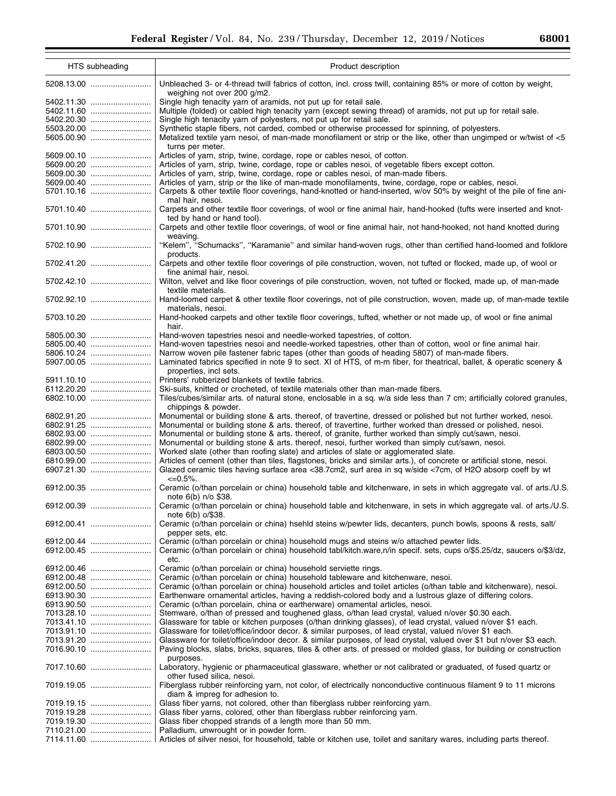۰

| HTS subheading           | Product description                                                                                                                                                                |
|--------------------------|------------------------------------------------------------------------------------------------------------------------------------------------------------------------------------|
|                          | Unbleached 3- or 4-thread twill fabrics of cotton, incl. cross twill, containing 85% or more of cotton by weight,<br>weighing not over 200 g/m2.                                   |
| 5402.11.30<br>5402.11.60 | Single high tenacity yarn of aramids, not put up for retail sale.<br>Multiple (folded) or cabled high tenacity yarn (except sewing thread) of aramids, not put up for retail sale. |
| 5402.20.30               | Single high tenacity yarn of polyesters, not put up for retail sale.                                                                                                               |
| 5503.20.00               | Synthetic staple fibers, not carded, combed or otherwise processed for spinning, of polyesters.                                                                                    |
| 5605.00.90               | Metalized textile yarn nesoi, of man-made monofilament or strip or the like, other than ungimped or w/twist of <5                                                                  |
|                          | turns per meter.                                                                                                                                                                   |
| 5609.00.10               | Articles of yarn, strip, twine, cordage, rope or cables nesoi, of cotton.                                                                                                          |
| 5609.00.20               | Articles of yarn, strip, twine, cordage, rope or cables nesoi, of vegetable fibers except cotton.                                                                                  |
| 5609.00.30               | Articles of yarn, strip, twine, cordage, rope or cables nesoi, of man-made fibers.                                                                                                 |
|                          |                                                                                                                                                                                    |
| 5609.00.40               | Articles of yarn, strip or the like of man-made monofilaments, twine, cordage, rope or cables, nesoi.                                                                              |
| 5701.10.16               | Carpets & other textile floor coverings, hand-knotted or hand-inserted, w/ov 50% by weight of the pile of fine ani-                                                                |
| 5701.10.40               | mal hair, nesoi.<br>Carpets and other textile floor coverings, of wool or fine animal hair, hand-hooked (tufts were inserted and knot-<br>ted by hand or hand tool).               |
| 5701.10.90               | Carpets and other textile floor coverings, of wool or fine animal hair, not hand-hooked, not hand knotted during<br>weaving.                                                       |
| 5702.10.90               | "Kelem", "Schumacks", "Karamanie" and similar hand-woven rugs, other than certified hand-loomed and folklore<br>products.                                                          |
| 5702.41.20               | Carpets and other textile floor coverings of pile construction, woven, not tufted or flocked, made up, of wool or<br>fine animal hair, nesoi.                                      |
| 5702.42.10               | Wilton, velvet and like floor coverings of pile construction, woven, not tufted or flocked, made up, of man-made<br>textile materials.                                             |
| 5702.92.10               | Hand-loomed carpet & other textile floor coverings, not of pile construction, woven, made up, of man-made textile<br>materials, nesoi.                                             |
| 5703.10.20               | Hand-hooked carpets and other textile floor coverings, tufted, whether or not made up, of wool or fine animal<br>hair.                                                             |
| 5805.00.30               | Hand-woven tapestries nesoi and needle-worked tapestries, of cotton.                                                                                                               |
| 5805.00.40               | Hand-woven tapestries nesoi and needle-worked tapestries, other than of cotton, wool or fine animal hair.                                                                          |
| 5806.10.24               | Narrow woven pile fastener fabric tapes (other than goods of heading 5807) of man-made fibers.                                                                                     |
| 5907.00.05               | Laminated fabrics specified in note 9 to sect. XI of HTS, of m-m fiber, for theatrical, ballet, & operatic scenery &                                                               |
|                          | properties, incl sets.                                                                                                                                                             |
| 5911.10.10               | Printers' rubberized blankets of textile fabrics.                                                                                                                                  |
| 6112.20.20               | Ski-suits, knitted or crocheted, of textile materials other than man-made fibers.                                                                                                  |
| 6802.10.00               | Tiles/cubes/similar arts. of natural stone, enclosable in a sq. w/a side less than 7 cm; artificially colored granules,                                                            |
|                          | chippings & powder.                                                                                                                                                                |
| 6802.91.20               | Monumental or building stone & arts. thereof, of travertine, dressed or polished but not further worked, nesoi.                                                                    |
| 6802.91.25               | Monumental or building stone & arts. thereof, of travertine, further worked than dressed or polished, nesoi.                                                                       |
| 6802.93.00               | Monumental or building stone & arts. thereof, of granite, further worked than simply cut/sawn, nesoi.                                                                              |
| 6802.99.00               | Monumental or building stone & arts. thereof, nesoi, further worked than simply cut/sawn, nesoi.                                                                                   |
| 6803.00.50               | Worked slate (other than roofing slate) and articles of slate or agglomerated slate.                                                                                               |
| 6810.99.00               | Articles of cement (other than tiles, flagstones, bricks and similar arts.), of concrete or artificial stone, nesoi.                                                               |
|                          | Glazed ceramic tiles having surface area <38.7cm2, surf area in sq w/side <7cm, of H2O absorp coeff by wt<br>$<=0.5\%$ .                                                           |
| 6912.00.35               | Ceramic (o/than porcelain or china) household table and kitchenware, in sets in which aggregate val. of arts./U.S.<br>note 6(b) n/o \$38.                                          |
| 6912.00.39               | Ceramic (o/than porcelain or china) household table and kitchenware, in sets in which aggregate val. of arts./U.S.<br>note $6(b)$ o/\$38.                                          |
| 6912.00.41               | Ceramic (o/than porcelain or china) hsehld steins w/pewter lids, decanters, punch bowls, spoons & rests, salt/<br>pepper sets, etc.                                                |
| 6912.00.44               | Ceramic (o/than porcelain or china) household mugs and steins w/o attached pewter lids.                                                                                            |
| 6912.00.45               | Ceramic (o/than porcelain or china) household tabl/kitch.ware,n/in specif. sets, cups o/\$5.25/dz, saucers o/\$3/dz,<br>etc.                                                       |
| 6912.00.46               | Ceramic (o/than porcelain or china) household serviette rings.                                                                                                                     |
| 6912.00.48               | Ceramic (o/than porcelain or china) household tableware and kitchenware, nesoi.                                                                                                    |
| 6912.00.50               | Ceramic (o/than porcelain or china) household articles and toilet articles (o/than table and kitchenware), nesoi.                                                                  |
|                          | Earthenware ornamental articles, having a reddish-colored body and a lustrous glaze of differing colors.                                                                           |
|                          | Ceramic (o/than porcelain, china or eartherware) ornamental articles, nesoi.                                                                                                       |
|                          | Stemware, o/than of pressed and toughened glass, o/than lead crystal, valued n/over \$0.30 each.                                                                                   |
| 7013.41.10               | Glassware for table or kitchen purposes (o/than drinking glasses), of lead crystal, valued n/over \$1 each.                                                                        |
|                          | Glassware for toilet/office/indoor decor. & similar purposes, of lead crystal, valued n/over \$1 each.                                                                             |
| 7013.91.20               | Glassware for toilet/office/indoor decor. & similar purposes, of lead crystal, valued over \$1 but n/over \$3 each.                                                                |
| 7016.90.10               | Paving blocks, slabs, bricks, squares, tiles & other arts. of pressed or molded glass, for building or construction<br>purposes.                                                   |
| 7017.10.60               | Laboratory, hygienic or pharmaceutical glassware, whether or not calibrated or graduated, of fused quartz or<br>other fused silica, nesoi.                                         |
| 7019.19.05               | Fiberglass rubber reinforcing yarn, not color, of electrically nonconductive continuous filament 9 to 11 microns<br>diam & impreg for adhesion to.                                 |
| 7019.19.15               | Glass fiber yarns, not colored, other than fiberglass rubber reinforcing yarn.                                                                                                     |
|                          | Glass fiber yarns, colored, other than fiberglass rubber reinforcing yarn.                                                                                                         |
|                          | Glass fiber chopped strands of a length more than 50 mm.                                                                                                                           |
| 7110.21.00               | Palladium, unwrought or in powder form.                                                                                                                                            |
|                          | Articles of silver nesoi, for household, table or kitchen use, toilet and sanitary wares, including parts thereof.                                                                 |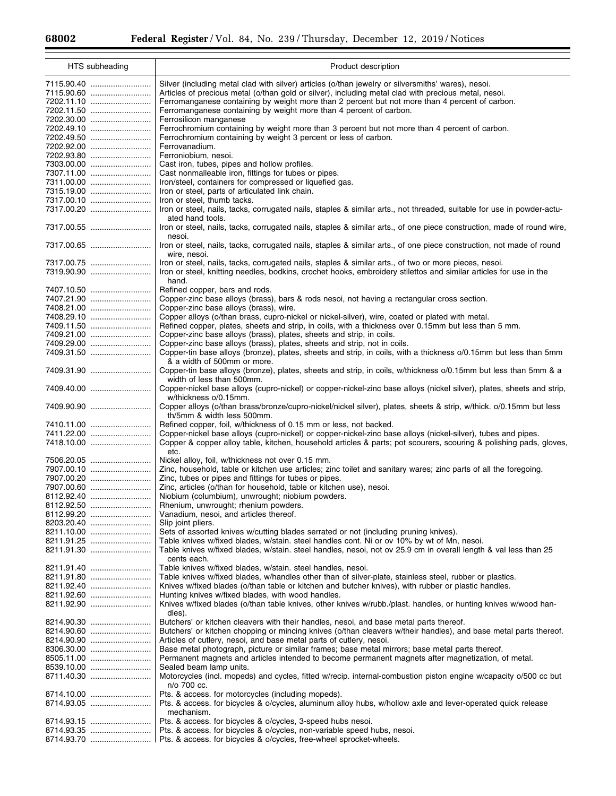Ξ

٠

| HTS subheading | Product description                                                                                                                              |
|----------------|--------------------------------------------------------------------------------------------------------------------------------------------------|
| 7115.90.40     | Silver (including metal clad with silver) articles (o/than jewelry or silversmiths' wares), nesoi.                                               |
| 7115.90.60     | Articles of precious metal (o/than gold or silver), including metal clad with precious metal, nesoi.                                             |
| 7202.11.10     | Ferromanganese containing by weight more than 2 percent but not more than 4 percent of carbon.                                                   |
|                | Ferromanganese containing by weight more than 4 percent of carbon.                                                                               |
|                |                                                                                                                                                  |
|                | Ferrosilicon manganese                                                                                                                           |
| 7202.49.10     | Ferrochromium containing by weight more than 3 percent but not more than 4 percent of carbon.                                                    |
|                | Ferrochromium containing by weight 3 percent or less of carbon.                                                                                  |
| 7202.92.00     | Ferrovanadium.                                                                                                                                   |
|                | Ferroniobium, nesoi.                                                                                                                             |
|                | Cast iron, tubes, pipes and hollow profiles.                                                                                                     |
| 7307.11.00     | Cast nonmalleable iron, fittings for tubes or pipes.                                                                                             |
| 7311.00.00     | Iron/steel, containers for compressed or liquefied gas.                                                                                          |
| 7315.19.00     | Iron or steel, parts of articulated link chain.                                                                                                  |
| 7317.00.10     | Iron or steel, thumb tacks.                                                                                                                      |
| 7317.00.20     | Iron or steel, nails, tacks, corrugated nails, staples & similar arts., not threaded, suitable for use in powder-actu-                           |
| 7317.00.55     | ated hand tools.<br>Iron or steel, nails, tacks, corrugated nails, staples & similar arts., of one piece construction, made of round wire,       |
|                | nesoi.                                                                                                                                           |
| 7317.00.65     | Iron or steel, nails, tacks, corrugated nails, staples & similar arts., of one piece construction, not made of round<br>wire, nesoi.             |
| 7317.00.75     | Iron or steel, nails, tacks, corrugated nails, staples & similar arts., of two or more pieces, nesoi.                                            |
| 7319.90.90     | Iron or steel, knitting needles, bodkins, crochet hooks, embroidery stilettos and similar articles for use in the<br>hand.                       |
| 7407.10.50     | Refined copper, bars and rods.                                                                                                                   |
| 7407.21.90     | Copper-zinc base alloys (brass), bars & rods nesoi, not having a rectangular cross section.                                                      |
| 7408.21.00     | Copper-zinc base alloys (brass), wire.                                                                                                           |
| 7408.29.10     | Copper alloys (o/than brass, cupro-nickel or nickel-silver), wire, coated or plated with metal.                                                  |
|                | Refined copper, plates, sheets and strip, in coils, with a thickness over 0.15mm but less than 5 mm.                                             |
| 7409.21.00     | Copper-zinc base alloys (brass), plates, sheets and strip, in coils.                                                                             |
| 7409.29.00     | Copper-zinc base alloys (brass), plates, sheets and strip, not in coils.                                                                         |
| 7409.31.50     | Copper-tin base alloys (bronze), plates, sheets and strip, in coils, with a thickness o/0.15mm but less than 5mm                                 |
|                | & a width of 500mm or more.                                                                                                                      |
| 7409.31.90     | Copper-tin base alloys (bronze), plates, sheets and strip, in coils, w/thickness o/0.15mm but less than 5mm & a<br>width of less than 500mm.     |
| 7409.40.00     | Copper-nickel base alloys (cupro-nickel) or copper-nickel-zinc base alloys (nickel silver), plates, sheets and strip,<br>w/thickness o/0.15mm.   |
| 7409.90.90     | Copper alloys (o/than brass/bronze/cupro-nickel/nickel silver), plates, sheets & strip, w/thick. o/0.15mm but less<br>th/5mm & width less 500mm. |
| 7410.11.00     | Refined copper, foil, w/thickness of 0.15 mm or less, not backed.                                                                                |
| 7411.22.00     | Copper-nickel base alloys (cupro-nickel) or copper-nickel-zinc base alloys (nickel-silver), tubes and pipes.                                     |
| 7418.10.00     | Copper & copper alloy table, kitchen, household articles & parts; pot scourers, scouring & polishing pads, gloves,<br>etc.                       |
|                | Nickel alloy, foil, w/thickness not over 0.15 mm.                                                                                                |
|                | Zinc, household, table or kitchen use articles; zinc toilet and sanitary wares; zinc parts of all the foregoing.                                 |
|                | Zinc, tubes or pipes and fittings for tubes or pipes.                                                                                            |
|                | Zinc, articles (o/than for household, table or kitchen use), nesoi.                                                                              |
|                |                                                                                                                                                  |
|                | Niobium (columbium), unwrought; niobium powders.                                                                                                 |
| 8112.92.50     | Rhenium, unwrought; rhenium powders.                                                                                                             |
| 8112.99.20     | Vanadium, nesoi, and articles thereof.                                                                                                           |
| 8203.20.40     | Slip joint pliers.                                                                                                                               |
| 8211.10.00     | Sets of assorted knives w/cutting blades serrated or not (including pruning knives).                                                             |
| 8211.91.25     | Table knives w/fixed blades, w/stain. steel handles cont. Ni or ov 10% by wt of Mn, nesoi.                                                       |
| 8211.91.30     | Table knives w/fixed blades, w/stain. steel handles, nesoi, not ov 25.9 cm in overall length & val less than 25                                  |
|                | cents each.                                                                                                                                      |
| 8211.91.40     | Table knives w/fixed blades, w/stain. steel handles, nesoi.                                                                                      |
| 8211.91.80     | Table knives w/fixed blades, w/handles other than of silver-plate, stainless steel, rubber or plastics.                                          |
| 8211.92.40     | Knives w/fixed blades (o/than table or kitchen and butcher knives), with rubber or plastic handles.                                              |
| 8211.92.60     | Hunting knives w/fixed blades, with wood handles.                                                                                                |
| 8211.92.90     | Knives w/fixed blades (o/than table knives, other knives w/rubb./plast. handles, or hunting knives w/wood han-<br>dles).                         |
| 8214.90.30     | Butchers' or kitchen cleavers with their handles, nesoi, and base metal parts thereof.                                                           |
| 8214.90.60     | Butchers' or kitchen chopping or mincing knives (o/than cleavers w/their handles), and base metal parts thereof.                                 |
| 8214.90.90     | Articles of cutlery, nesol, and base metal parts of cutlery, nesol.                                                                              |
| 8306.30.00     | Base metal photograph, picture or similar frames; base metal mirrors; base metal parts thereof.                                                  |
| 8505.11.00     | Permanent magnets and articles intended to become permanent magnets after magnetization, of metal.                                               |
| 8539.10.00     | Sealed beam lamp units.                                                                                                                          |
| 8711.40.30     | Motorcycles (incl. mopeds) and cycles, fitted w/recip. internal-combustion piston engine w/capacity o/500 cc but                                 |
|                | n/o 700 cc.                                                                                                                                      |
| 8714.10.00     | Pts. & access. for motorcycles (including mopeds).                                                                                               |
| 8714.93.05     | Pts. & access. for bicycles & o/cycles, aluminum alloy hubs, w/hollow axle and lever-operated quick release<br>mechanism.                        |
| 8714.93.15     | Pts. & access. for bicycles & o/cycles, 3-speed hubs nesoi.                                                                                      |
|                | Pts. & access. for bicycles & o/cycles, non-variable speed hubs, nesoi.                                                                          |
|                | Pts. & access. for bicycles & o/cycles, free-wheel sprocket-wheels.                                                                              |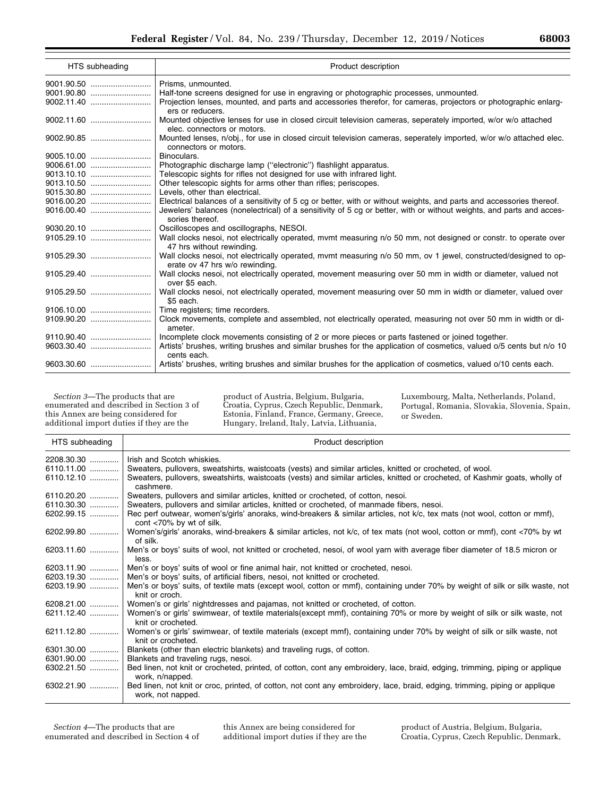| HTS subheading | Product description                                                                                                                               |
|----------------|---------------------------------------------------------------------------------------------------------------------------------------------------|
|                | Prisms, unmounted.                                                                                                                                |
|                | Half-tone screens designed for use in engraving or photographic processes, unmounted.                                                             |
|                | Projection lenses, mounted, and parts and accessories therefor, for cameras, projectors or photographic enlarg-<br>ers or reducers.               |
|                | Mounted objective lenses for use in closed circuit television cameras, seperately imported, w/or w/o attached<br>elec. connectors or motors.      |
|                | Mounted lenses, n/obj., for use in closed circuit television cameras, seperately imported, w/or w/o attached elec.<br>connectors or motors.       |
|                | Binoculars.                                                                                                                                       |
|                | Photographic discharge lamp ("electronic") flashlight apparatus.                                                                                  |
|                | Telescopic sights for rifles not designed for use with infrared light.                                                                            |
|                | Other telescopic sights for arms other than rifles; periscopes.                                                                                   |
|                | Levels, other than electrical.                                                                                                                    |
|                | Electrical balances of a sensitivity of 5 cg or better, with or without weights, and parts and accessories thereof.                               |
|                | Jewelers' balances (nonelectrical) of a sensitivity of 5 cq or better, with or without weights, and parts and acces-<br>sories thereof.           |
| 9030.20.10     | Oscilloscopes and oscillographs, NESOI.                                                                                                           |
|                | Wall clocks nesoi, not electrically operated, mvmt measuring n/o 50 mm, not designed or constr. to operate over<br>47 hrs without rewinding.      |
|                | Wall clocks nesol, not electrically operated, mvmt measuring n/o 50 mm, ov 1 jewel, constructed/designed to op-<br>erate ov 47 hrs w/o rewinding. |
|                | Wall clocks nesoi, not electrically operated, movement measuring over 50 mm in width or diameter, valued not<br>over \$5 each.                    |
| 9105.29.50     | Wall clocks nesoi, not electrically operated, movement measuring over 50 mm in width or diameter, valued over<br>\$5 each.                        |
|                | Time registers; time recorders.                                                                                                                   |
|                | Clock movements, complete and assembled, not electrically operated, measuring not over 50 mm in width or di-                                      |
|                | ameter.                                                                                                                                           |
|                | Incomplete clock movements consisting of 2 or more pieces or parts fastened or joined together.                                                   |
|                | Artists' brushes, writing brushes and similar brushes for the application of cosmetics, valued o/5 cents but n/o 10<br>cents each.                |
|                | Artists' brushes, writing brushes and similar brushes for the application of cosmetics, valued o/10 cents each.                                   |

*Section 3*—The products that are enumerated and described in Section 3 of this Annex are being considered for additional import duties if they are the

product of Austria, Belgium, Bulgaria, Croatia, Cyprus, Czech Republic, Denmark, Estonia, Finland, France, Germany, Greece, Hungary, Ireland, Italy, Latvia, Lithuania,

Luxembourg, Malta, Netherlands, Poland, Portugal, Romania, Slovakia, Slovenia, Spain, or Sweden.

| HTS subheading | Product description                                                                                                                                  |
|----------------|------------------------------------------------------------------------------------------------------------------------------------------------------|
| 2208.30.30     | Irish and Scotch whiskies.                                                                                                                           |
| $6110.11.00$   | Sweaters, pullovers, sweatshirts, waistcoats (vests) and similar articles, knitted or crocheted, of wool.                                            |
| $6110.12.10$   | Sweaters, pullovers, sweatshirts, waistcoats (vests) and similar articles, knitted or crocheted, of Kashmir goats, wholly of<br>cashmere.            |
| 6110.20.20     | Sweaters, pullovers and similar articles, knitted or crocheted, of cotton, nesoi.                                                                    |
| 6110.30.30     | Sweaters, pullovers and similar articles, knitted or crocheted, of manmade fibers, nesoi.                                                            |
| 6202.99.15     | Rec perf outwear, women's/girls' anoraks, wind-breakers & similar articles, not k/c, tex mats (not wool, cotton or mmf),<br>cont <70% by wt of silk. |
| 6202.99.80     | Women's/girls' anoraks, wind-breakers & similar articles, not k/c, of tex mats (not wool, cotton or mmf), cont <70% by wt<br>of silk.                |
| 6203.11.60     | Men's or boys' suits of wool, not knitted or crocheted, nesoi, of wool yarn with average fiber diameter of 18.5 micron or<br>less.                   |
|                | 6203.11.90    Men's or boys' suits of wool or fine animal hair, not knitted or crocheted, nesoi.                                                     |
| 6203.19.30     | Men's or boys' suits, of artificial fibers, nesoi, not knitted or crocheted.                                                                         |
| 6203.19.90     | Men's or boys' suits, of textile mats (except wool, cotton or mmf), containing under 70% by weight of silk or silk waste, not<br>knit or croch.      |
|                | 6208.21.00    Women's or girls' nightdresses and pajamas, not knitted or crocheted, of cotton.                                                       |
| 6211.12.40     | Women's or girls' swimwear, of textile materials(except mmf), containing 70% or more by weight of silk or silk waste, not<br>knit or crocheted.      |
| 6211.12.80     | Women's or girls' swimwear, of textile materials (except mmf), containing under 70% by weight of silk or silk waste, not<br>knit or crocheted.       |
| $6301.30.00$   | Blankets (other than electric blankets) and traveling rugs, of cotton.                                                                               |
| $6301.90.00$   | Blankets and traveling rugs, nesoi.                                                                                                                  |
| $6302.21.50$   | Bed linen, not knit or crocheted, printed, of cotton, cont any embroidery, lace, braid, edging, trimming, piping or applique<br>work, n/napped.      |
| $6302.21.90$   | Bed linen, not knit or croc, printed, of cotton, not cont any embroidery, lace, braid, edging, trimming, piping or applique<br>work, not napped.     |

*Section 4*—The products that are enumerated and described in Section 4 of

this Annex are being considered for additional import duties if they are the

product of Austria, Belgium, Bulgaria, Croatia, Cyprus, Czech Republic, Denmark,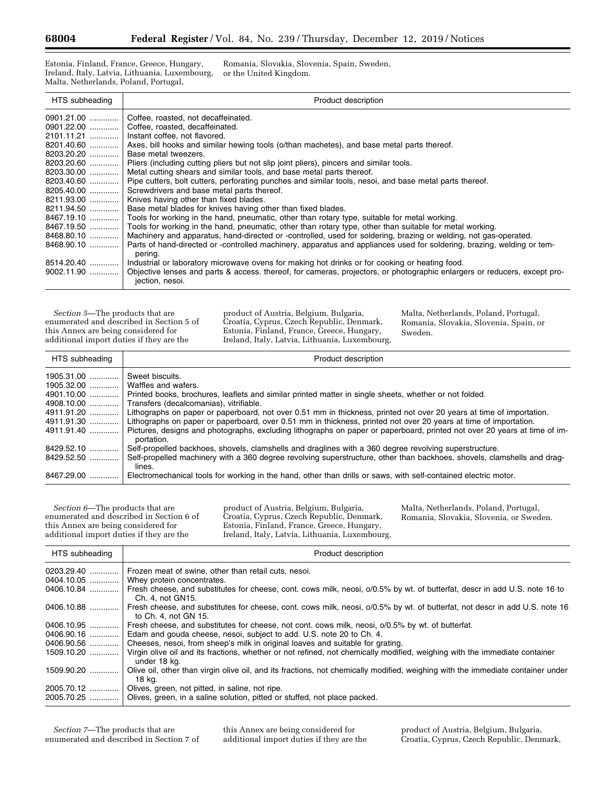Estonia, Finland, France, Greece, Hungary, Ireland, Italy, Latvia, Lithuania, Luxembourg, Malta, Netherlands, Poland, Portugal,

Romania, Slovakia, Slovenia, Spain, Sweden, or the United Kingdom.

| HTS subheading | Product description                                                                                                                          |
|----------------|----------------------------------------------------------------------------------------------------------------------------------------------|
| 0901.21.00     | Coffee, roasted, not decaffeinated.                                                                                                          |
| 0901.22.00     | Coffee, roasted, decaffeinated.                                                                                                              |
| 2101.11.21     | Instant coffee, not flavored.                                                                                                                |
| 8201.40.60     | Axes, bill hooks and similar hewing tools (o/than machetes), and base metal parts thereof.                                                   |
| 8203.20.20     | Base metal tweezers.                                                                                                                         |
| 8203.20.60     | Pliers (including cutting pliers but not slip joint pliers), pincers and similar tools.                                                      |
| 8203.30.00     | Metal cutting shears and similar tools, and base metal parts thereof.                                                                        |
| 8203.40.60     | Pipe cutters, bolt cutters, perforating punches and similar tools, nesoi, and base metal parts thereof.                                      |
| 8205.40.00     | Screwdrivers and base metal parts thereof.                                                                                                   |
|                | 8211.93.00    Knives having other than fixed blades.                                                                                         |
| 8211.94.50     | Base metal blades for knives having other than fixed blades.                                                                                 |
|                | 8467.19.10  Tools for working in the hand, pneumatic, other than rotary type, suitable for metal working.                                    |
|                | 8467.19.50  Tools for working in the hand, pneumatic, other than rotary type, other than suitable for metal working.                         |
| 8468.80.10     | Machinery and apparatus, hand-directed or -controlled, used for soldering, brazing or welding, not gas-operated.                             |
| 8468.90.10     | Parts of hand-directed or -controlled machinery, apparatus and appliances used for soldering, brazing, welding or tem-                       |
|                | pering.                                                                                                                                      |
|                | 8514.20.40    Industrial or laboratory microwave ovens for making hot drinks or for cooking or heating food.                                 |
| 9002.11.90     | Objective lenses and parts & access, thereof, for cameras, projectors, or photographic enlargers or reducers, except pro-<br>jection, nesoi. |

*Section 5*—The products that are enumerated and described in Section 5 of this Annex are being considered for additional import duties if they are the

product of Austria, Belgium, Bulgaria, Croatia, Cyprus, Czech Republic, Denmark, Estonia, Finland, France, Greece, Hungary, Ireland, Italy, Latvia, Lithuania, Luxembourg, Malta, Netherlands, Poland, Portugal, Romania, Slovakia, Slovenia, Spain, or Sweden.

| HTS subheading | Product description                                                                                                                     |
|----------------|-----------------------------------------------------------------------------------------------------------------------------------------|
| $1905.31.00$   | Sweet biscuits.                                                                                                                         |
| $1905.32.00$   | Waffles and wafers.                                                                                                                     |
| 4901.10.00     | Printed books, brochures, leaflets and similar printed matter in single sheets, whether or not folded.                                  |
| 4908.10.00     | Transfers (decalcomanias), vitrifiable.                                                                                                 |
| 4911.91.20     | Lithographs on paper or paperboard, not over 0.51 mm in thickness, printed not over 20 years at time of importation.                    |
| 4911.91.30     | Lithographs on paper or paperboard, over 0.51 mm in thickness, printed not over 20 years at time of importation.                        |
| 4911.91.40     | Pictures, designs and photographs, excluding lithographs on paper or paperboard, printed not over 20 years at time of im-<br>portation. |
| 8429.52.10     | Self-propelled backhoes, shovels, clamshells and draglines with a 360 degree revolving superstructure.                                  |
| 8429.52.50     | Self-propelled machinery with a 360 degree revolving superstructure, other than backhoes, shovels, clamshells and drag-<br>lines.       |
| 8467.29.00     | Electromechanical tools for working in the hand, other than drills or saws, with self-contained electric motor.                         |

*Section 6*—The products that are enumerated and described in Section 6 of this Annex are being considered for additional import duties if they are the

product of Austria, Belgium, Bulgaria, Croatia, Cyprus, Czech Republic, Denmark, Estonia, Finland, France, Greece, Hungary, Ireland, Italy, Latvia, Lithuania, Luxembourg, Malta, Netherlands, Poland, Portugal, Romania, Slovakia, Slovenia, or Sweden.

| HTS subheading | Product description                                                                                                                                 |
|----------------|-----------------------------------------------------------------------------------------------------------------------------------------------------|
| 0203.29.40     | Frozen meat of swine, other than retail cuts, nesoi.                                                                                                |
| 0404.10.05     | Whey protein concentrates.                                                                                                                          |
| $0406.10.84$   | Fresh cheese, and substitutes for cheese, cont. cows milk, neosi, o/0.5% by wt. of butterfat, descr in add U.S. note 16 to<br>Ch. 4. not GN15.      |
| 0406.10.88     | Fresh cheese, and substitutes for cheese, cont. cows milk, neosi, o/0.5% by wt. of butterfat, not descr in add U.S. note 16<br>to Ch. 4, not GN 15. |
| 0406.10.95     | Fresh cheese, and substitutes for cheese, not cont. cows milk, neosi, o/0.5% by wt. of butterfat.                                                   |
| 0406.90.16     | Edam and gouda cheese, nesol, subject to add. U.S. note 20 to Ch. 4.                                                                                |
| 0406.90.56     | Cheeses, nesoi, from sheep's milk in original loaves and suitable for grating.                                                                      |
| 1509.10.20     | Virgin olive oil and its fractions, whether or not refined, not chemically modified, weighing with the immediate container<br>under 18 kg.          |
| 1509.90.20     | Olive oil, other than virgin olive oil, and its fractions, not chemically modified, weighing with the immediate container under<br>18 ka.           |
| 2005.70.12     | Olives, green, not pitted, in saline, not ripe.                                                                                                     |
| 2005.70.25     | Olives, green, in a saline solution, pitted or stuffed, not place packed.                                                                           |

this Annex are being considered for additional import duties if they are the product of Austria, Belgium, Bulgaria, Croatia, Cyprus, Czech Republic, Denmark,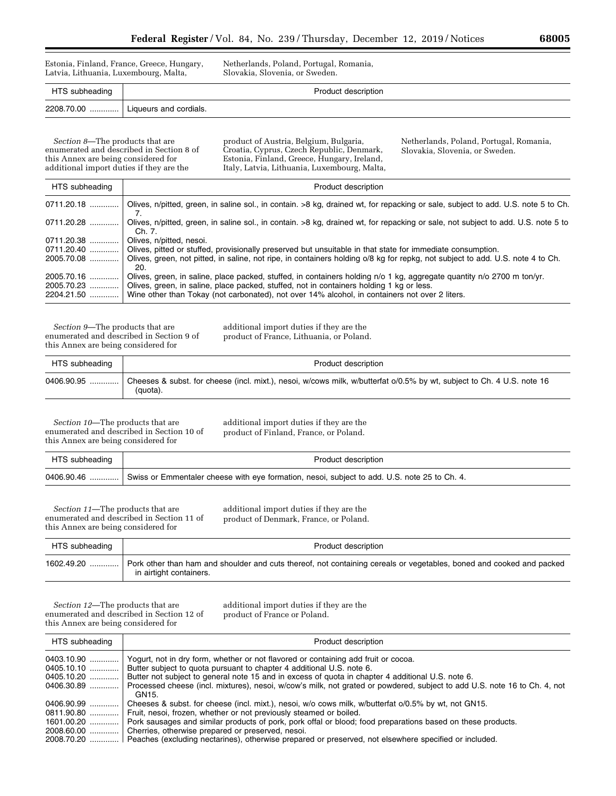Estonia, Finland, France, Greece, Hungary, Latvia, Lithuania, Luxembourg, Malta,

Netherlands, Poland, Portugal, Romania, Slovakia, Slovenia, or Sweden.

| HTS subheading | Product description                  |
|----------------|--------------------------------------|
|                | 2208.70.00    Liqueurs and cordials. |

*Section 8*—The products that are enumerated and described in Section 8 of this Annex are being considered for additional import duties if they are the

product of Austria, Belgium, Bulgaria, Croatia, Cyprus, Czech Republic, Denmark, Estonia, Finland, Greece, Hungary, Ireland, Italy, Latvia, Lithuania, Luxembourg, Malta, Netherlands, Poland, Portugal, Romania, Slovakia, Slovenia, or Sweden.

| HTS subheading  | Product description                                                                                                                         |
|-----------------|---------------------------------------------------------------------------------------------------------------------------------------------|
| 0711.20.18      | Olives, n/pitted, green, in saline sol., in contain. >8 kg, drained wt, for repacking or sale, subject to add. U.S. note 5 to Ch.           |
| 0711.20.28<br>. | Olives, n/pitted, green, in saline sol., in contain. >8 kg, drained wt, for repacking or sale, not subject to add. U.S. note 5 to<br>Ch. 7. |
| 0711.20.38<br>. | Olives, n/pitted, nesoi.                                                                                                                    |
| 0711.20.40      | Olives, pitted or stuffed, provisionally preserved but unsuitable in that state for immediate consumption.                                  |
| 2005.70.08      | Olives, green, not pitted, in saline, not ripe, in containers holding o/8 kg for repkg, not subject to add. U.S. note 4 to Ch.<br>20.       |
| 2005.70.16      | Olives, green, in saline, place packed, stuffed, in containers holding n/o 1 kg, aggregate quantity n/o 2700 m ton/yr.                      |
| 2005.70.23      | Olives, green, in saline, place packed, stuffed, not in containers holding 1 kg or less.                                                    |
| 2204.21.50      | Wine other than Tokay (not carbonated), not over 14% alcohol, in containers not over 2 liters.                                              |

*Section 9*—The products that are enumerated and described in Section 9 of this Annex are being considered for

additional import duties if they are the product of France, Lithuania, or Poland.

| HTS subheading | Product description                                                                                                                |
|----------------|------------------------------------------------------------------------------------------------------------------------------------|
| 0406.90.95     | Cheeses & subst. for cheese (incl. mixt.), nesoi, w/cows milk, w/butterfat o/0.5% by wt, subject to Ch. 4 U.S. note 16<br>(quota). |

*Section 10*—The products that are enumerated and described in Section 10 of this Annex are being considered for

additional import duties if they are the product of Finland, France, or Poland.

| HTS subheading | Product description                                                                          |
|----------------|----------------------------------------------------------------------------------------------|
| $0406.90.46$   | Swiss or Emmentaler cheese with eye formation, nesoi, subject to add. U.S. note 25 to Ch. 4. |

*Section 11*—The products that are enumerated and described in Section 11 of this Annex are being considered for

additional import duties if they are the product of Denmark, France, or Poland.

| HTS subheading | Product description                                                                                                                             |
|----------------|-------------------------------------------------------------------------------------------------------------------------------------------------|
| $1602.49.20$   | Pork other than ham and shoulder and cuts thereof, not containing cereals or vegetables, boned and cooked and packed<br>in airtight containers. |

*Section 12*—The products that are enumerated and described in Section 12 of this Annex are being considered for

additional import duties if they are the product of France or Poland.

| HTS subheading | Product description                                                                                                       |
|----------------|---------------------------------------------------------------------------------------------------------------------------|
| 0403.10.90     | Yogurt, not in dry form, whether or not flavored or containing add fruit or cocoa.                                        |
| $0405.10.10$   | Butter subject to quota pursuant to chapter 4 additional U.S. note 6.                                                     |
| 0405.10.20     | Butter not subject to general note 15 and in excess of quota in chapter 4 additional U.S. note 6.                         |
| 0406.30.89     | Processed cheese (incl. mixtures), nesoi, w/cow's milk, not grated or powdered, subject to add U.S. note 16 to Ch. 4, not |
|                | GN <sub>15</sub> .                                                                                                        |
| 0406.90.99     | Cheeses & subst. for cheese (incl. mixt.), nesoi, w/o cows milk, w/butterfat o/0.5% by wt, not GN15.                      |
| 0811.90.80     | Fruit, nesoi, frozen, whether or not previously steamed or boiled.                                                        |
| 1601.00.20     | Pork sausages and similar products of pork, pork offal or blood; food preparations based on these products.               |
| 2008.60.00     | Cherries, otherwise prepared or preserved, nesoi.                                                                         |
| 2008.70.20     | Peaches (excluding nectarines), otherwise prepared or preserved, not elsewhere specified or included.                     |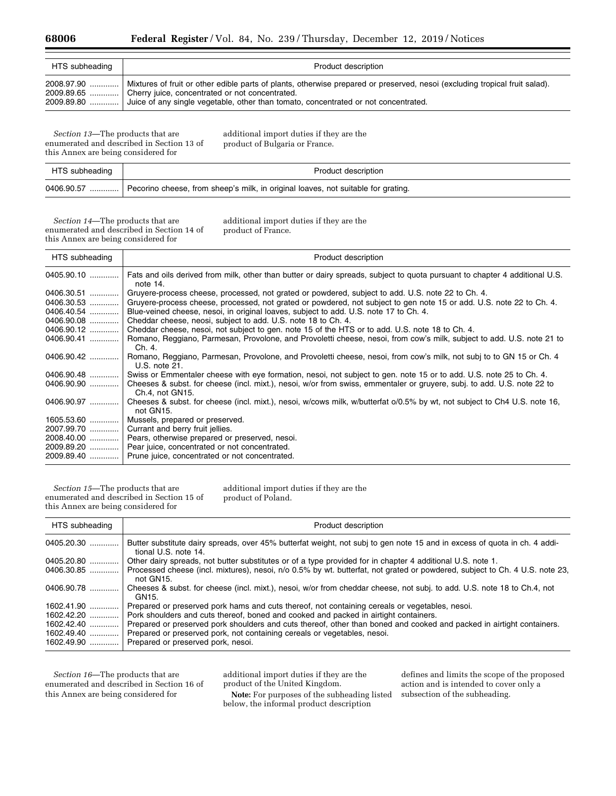| HTS subheading | Product description                                                                                                         |
|----------------|-----------------------------------------------------------------------------------------------------------------------------|
| 2008.97.90     | Mixtures of fruit or other edible parts of plants, otherwise prepared or preserved, nesoi (excluding tropical fruit salad). |
| 2009.89.65     | Cherry juice, concentrated or not concentrated.                                                                             |
| 2009.89.80     | Juice of any single vegetable, other than tomato, concentrated or not concentrated.                                         |

*Section 13*—The products that are enumerated and described in Section 13 of this Annex are being considered for

additional import duties if they are the product of Bulgaria or France.

| HTS subheading | Product description                                                                           |
|----------------|-----------------------------------------------------------------------------------------------|
|                | 0406.90.57  Pecorino cheese, from sheep's milk, in original loaves, not suitable for grating. |

*Section 14*—The products that are enumerated and described in Section 14 of this Annex are being considered for

additional import duties if they are the product of France.

| HTS subheading | Product description                                                                                                                        |
|----------------|--------------------------------------------------------------------------------------------------------------------------------------------|
| 0405.90.10     | Fats and oils derived from milk, other than butter or dairy spreads, subject to quota pursuant to chapter 4 additional U.S.<br>note 14.    |
| 0406.30.51     | Gruyere-process cheese, processed, not grated or powdered, subject to add. U.S. note 22 to Ch. 4.                                          |
| 0406.30.53     | Gruyere-process cheese, processed, not grated or powdered, not subject to gen note 15 or add. U.S. note 22 to Ch. 4.                       |
| 0406.40.54     | Blue-veined cheese, nesol, in original loaves, subject to add. U.S. note 17 to Ch. 4.                                                      |
| 0406.90.08     | Cheddar cheese, neosi, subject to add. U.S. note 18 to Ch. 4.                                                                              |
| 0406.90.12     | Cheddar cheese, nesol, not subject to gen. note 15 of the HTS or to add. U.S. note 18 to Ch. 4.                                            |
| 0406.90.41     | Romano, Reggiano, Parmesan, Provolone, and Provoletti cheese, nesoi, from cow's milk, subject to add. U.S. note 21 to<br>Ch. 4.            |
| 0406.90.42     | Romano, Reggiano, Parmesan, Provolone, and Provoletti cheese, nesoi, from cow's milk, not subj to to GN 15 or Ch. 4<br>U.S. note 21.       |
| 0406.90.48     | Swiss or Emmentaler cheese with eye formation, nesol, not subject to gen. note 15 or to add. U.S. note 25 to Ch. 4.                        |
| $0406.90.90$   | Cheeses & subst. for cheese (incl. mixt.), nesoi, w/or from swiss, emmentaler or gruyere, subj. to add. U.S. note 22 to<br>Ch.4, not GN15. |
| 0406.90.97     | Cheeses & subst. for cheese (incl. mixt.), nesoi, w/cows milk, w/butterfat o/0.5% by wt, not subject to Ch4 U.S. note 16,<br>not GN15.     |
| 1605.53.60     | Mussels, prepared or preserved.                                                                                                            |
| 2007.99.70     | Currant and berry fruit jellies.                                                                                                           |
|                | 2008.40.00  Pears, otherwise prepared or preserved, nesoi.                                                                                 |
| $2009.89.20$   | Pear juice, concentrated or not concentrated.                                                                                              |
|                | 2009.89.40  Prune juice, concentrated or not concentrated.                                                                                 |

*Section 15*—The products that are enumerated and described in Section 15 of this Annex are being considered for

additional import duties if they are the product of Poland.

| HTS subheading | Product description                                                                                                                               |
|----------------|---------------------------------------------------------------------------------------------------------------------------------------------------|
| 0405.20.30     | Butter substitute dairy spreads, over 45% butterfat weight, not subj to gen note 15 and in excess of quota in ch. 4 addi-<br>tional U.S. note 14. |
| 0405.20.80     | Other dairy spreads, not butter substitutes or of a type provided for in chapter 4 additional U.S. note 1.                                        |
| 0406.30.85     | Processed cheese (incl. mixtures), nesoi, n/o 0.5% by wt. butterfat, not grated or powdered, subject to Ch. 4 U.S. note 23,<br>not GN15.          |
| 0406.90.78     | Cheeses & subst. for cheese (incl. mixt.), nesoi, w/or from cheddar cheese, not subj. to add. U.S. note 18 to Ch.4, not<br>GN15.                  |
| 1602.41.90     | Prepared or preserved pork hams and cuts thereof, not containing cereals or vegetables, nesoi.                                                    |
| $1602.42.20$   | Pork shoulders and cuts thereof, boned and cooked and packed in airtight containers.                                                              |
| $1602.42.40$   | Prepared or preserved pork shoulders and cuts thereof, other than boned and cooked and packed in airtight containers.                             |
| $1602.49.40$   | Prepared or preserved pork, not containing cereals or vegetables, nesoi.                                                                          |
| 1602.49.90     | Prepared or preserved pork, nesoi.                                                                                                                |

*Section 16*—The products that are enumerated and described in Section 16 of this Annex are being considered for

additional import duties if they are the product of the United Kingdom.

**Note:** For purposes of the subheading listed below, the informal product description

defines and limits the scope of the proposed action and is intended to cover only a subsection of the subheading.